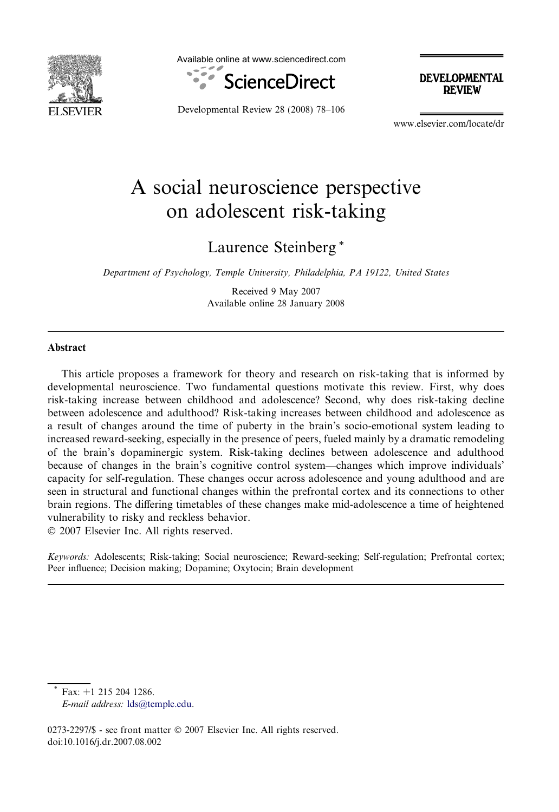

Available online at www.sciencedirect.com



**DEVELOPMENTAL DFVIFW** 

Developmental Review 28 (2008) 78–106

www.elsevier.com/locate/dr

# A social neuroscience perspective on adolescent risk-taking

Laurence Steinberg \*

Department of Psychology, Temple University, Philadelphia, PA 19122, United States

Received 9 May 2007 Available online 28 January 2008

#### **Abstract**

This article proposes a framework for theory and research on risk-taking that is informed by developmental neuroscience. Two fundamental questions motivate this review. First, why does risk-taking increase between childhood and adolescence? Second, why does risk-taking decline between adolescence and adulthood? Risk-taking increases between childhood and adolescence as a result of changes around the time of puberty in the brain's socio-emotional system leading to increased reward-seeking, especially in the presence of peers, fueled mainly by a dramatic remodeling of the brain's dopaminergic system. Risk-taking declines between adolescence and adulthood because of changes in the brain's cognitive control system—changes which improve individuals' capacity for self-regulation. These changes occur across adolescence and young adulthood and are seen in structural and functional changes within the prefrontal cortex and its connections to other brain regions. The differing timetables of these changes make mid-adolescence a time of heightened vulnerability to risky and reckless behavior.

© 2007 Elsevier Inc. All rights reserved.

Keywords: Adolescents; Risk-taking; Social neuroscience; Reward-seeking; Self-regulation; Prefrontal cortex; Peer influence; Decision making; Dopamine; Oxytocin; Brain development

Fax: +1 215 204 1286. E-mail address: [lds@temple.edu](mailto:lds@temple.edu).

0273-2297/\$ - see front matter © 2007 Elsevier Inc. All rights reserved. doi:10.1016/j.dr.2007.08.002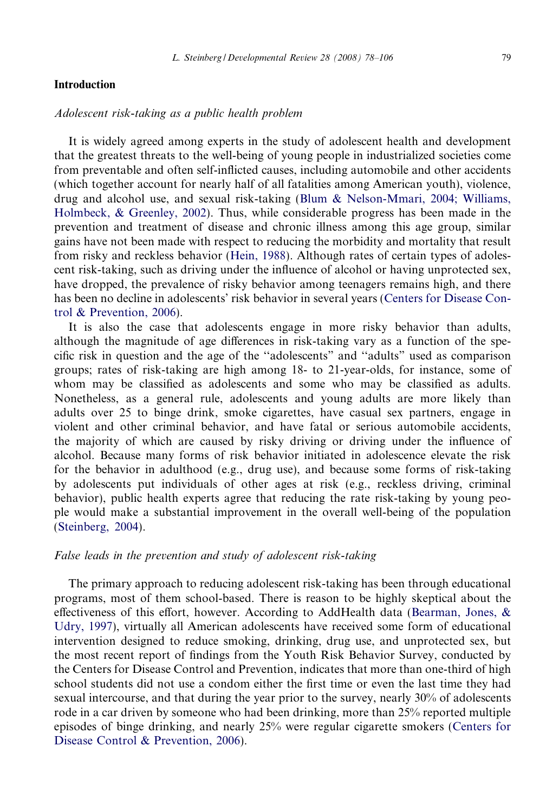## **Introduction**

Adolescent risk-taking as a public health problem

It is widely agreed among experts in the study of adolescent health and development that the greatest threats to the well-being of young people in industrialized societies come from preventable and often self-inflicted causes, including automobile and other accidents (which together account for nearly half of all fatalities among American youth), violence, drug and alcohol use, and sexual risk-taking [\(Blum & Nelson-Mmari, 2004; Williams,](#page-23-0) [Holmbeck, & Greenley, 2002\)](#page-23-0). Thus, while considerable progress has been made in the prevention and treatment of disease and chronic illness among this age group, similar gains have not been made with respect to reducing the morbidity and mortality that result from risky and reckless behavior ([Hein, 1988](#page-25-0)). Although rates of certain types of adolescent risk-taking, such as driving under the influence of alcohol or having unprotected sex, have dropped, the prevalence of risky behavior among teenagers remains high, and there has been no decline in adolescents' risk behavior in several years ([Centers for Disease Con](#page-23-0)[trol & Prevention, 2006](#page-23-0)).

It is also the case that adolescents engage in more risky behavior than adults, although the magnitude of age differences in risk-taking vary as a function of the specific risk in question and the age of the ''adolescents" and ''adults" used as comparison groups; rates of risk-taking are high among 18- to 21-year-olds, for instance, some of whom may be classified as adolescents and some who may be classified as adults. Nonetheless, as a general rule, adolescents and young adults are more likely than adults over 25 to binge drink, smoke cigarettes, have casual sex partners, engage in violent and other criminal behavior, and have fatal or serious automobile accidents, the majority of which are caused by risky driving or driving under the influence of alcohol. Because many forms of risk behavior initiated in adolescence elevate the risk for the behavior in adulthood (e.g., drug use), and because some forms of risk-taking by adolescents put individuals of other ages at risk (e.g., reckless driving, criminal behavior), public health experts agree that reducing the rate risk-taking by young people would make a substantial improvement in the overall well-being of the population ([Steinberg, 2004\)](#page-27-0).

# False leads in the prevention and study of adolescent risk-taking

The primary approach to reducing adolescent risk-taking has been through educational programs, most of them school-based. There is reason to be highly skeptical about the effectiveness of this effort, however. According to AddHealth data ([Bearman, Jones, &](#page-23-0) [Udry, 1997](#page-23-0)), virtually all American adolescents have received some form of educational intervention designed to reduce smoking, drinking, drug use, and unprotected sex, but the most recent report of findings from the Youth Risk Behavior Survey, conducted by the Centers for Disease Control and Prevention, indicates that more than one-third of high school students did not use a condom either the first time or even the last time they had sexual intercourse, and that during the year prior to the survey, nearly 30% of adolescents rode in a car driven by someone who had been drinking, more than 25% reported multiple episodes of binge drinking, and nearly 25% were regular cigarette smokers ([Centers for](#page-23-0) [Disease Control & Prevention, 2006](#page-23-0)).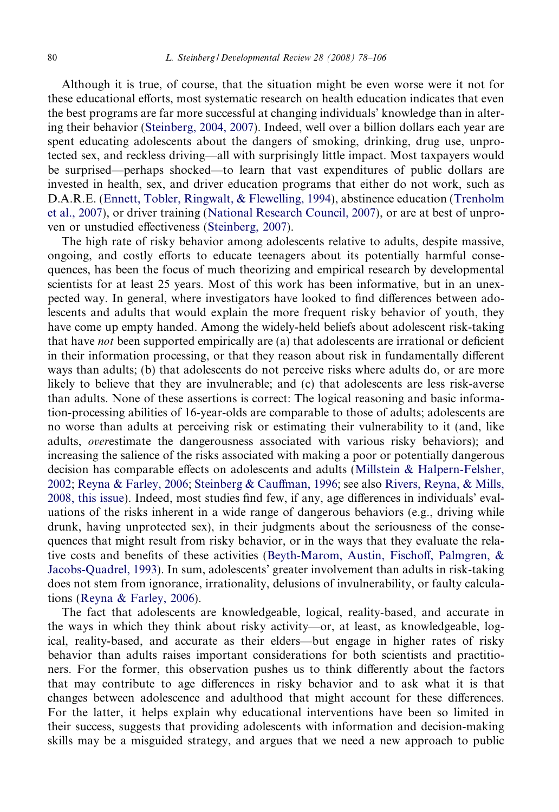Although it is true, of course, that the situation might be even worse were it not for these educational efforts, most systematic research on health education indicates that even the best programs are far more successful at changing individuals' knowledge than in altering their behavior ([Steinberg, 2004, 2007](#page-27-0)). Indeed, well over a billion dollars each year are spent educating adolescents about the dangers of smoking, drinking, drug use, unprotected sex, and reckless driving—all with surprisingly little impact. Most taxpayers would be surprised—perhaps shocked—to learn that vast expenditures of public dollars are invested in health, sex, and driver education programs that either do not work, such as D.A.R.E. ([Ennett, Tobler, Ringwalt, & Flewelling, 1994](#page-24-0)), abstinence education ([Trenholm](#page-27-0) [et al., 2007\)](#page-27-0), or driver training ([National Research Council, 2007\)](#page-26-0), or are at best of unproven or unstudied effectiveness ([Steinberg, 2007](#page-27-0)).

The high rate of risky behavior among adolescents relative to adults, despite massive, ongoing, and costly efforts to educate teenagers about its potentially harmful consequences, has been the focus of much theorizing and empirical research by developmental scientists for at least 25 years. Most of this work has been informative, but in an unexpected way. In general, where investigators have looked to find differences between adolescents and adults that would explain the more frequent risky behavior of youth, they have come up empty handed. Among the widely-held beliefs about adolescent risk-taking that have *not* been supported empirically are (a) that adolescents are irrational or deficient in their information processing, or that they reason about risk in fundamentally different ways than adults; (b) that adolescents do not perceive risks where adults do, or are more likely to believe that they are invulnerable; and (c) that adolescents are less risk-averse than adults. None of these assertions is correct: The logical reasoning and basic information-processing abilities of 16-year-olds are comparable to those of adults; adolescents are no worse than adults at perceiving risk or estimating their vulnerability to it (and, like adults, overestimate the dangerousness associated with various risky behaviors); and increasing the salience of the risks associated with making a poor or potentially dangerous decision has comparable effects on adolescents and adults [\(Millstein & Halpern-Felsher,](#page-26-0) [2002;](#page-26-0) [Reyna & Farley, 2006;](#page-26-0) [Steinberg & Cauffman, 1996;](#page-27-0) see also [Rivers, Reyna, & Mills,](#page-26-0) [2008, this issue](#page-26-0)). Indeed, most studies find few, if any, age differences in individuals' evaluations of the risks inherent in a wide range of dangerous behaviors (e.g., driving while drunk, having unprotected sex), in their judgments about the seriousness of the consequences that might result from risky behavior, or in the ways that they evaluate the relative costs and benefits of these activities ([Beyth-Marom, Austin, Fischoff, Palmgren, &](#page-23-0) [Jacobs-Quadrel, 1993](#page-23-0)). In sum, adolescents' greater involvement than adults in risk-taking does not stem from ignorance, irrationality, delusions of invulnerability, or faulty calculations [\(Reyna & Farley, 2006\)](#page-26-0).

The fact that adolescents are knowledgeable, logical, reality-based, and accurate in the ways in which they think about risky activity—or, at least, as knowledgeable, logical, reality-based, and accurate as their elders—but engage in higher rates of risky behavior than adults raises important considerations for both scientists and practitioners. For the former, this observation pushes us to think differently about the factors that may contribute to age differences in risky behavior and to ask what it is that changes between adolescence and adulthood that might account for these differences. For the latter, it helps explain why educational interventions have been so limited in their success, suggests that providing adolescents with information and decision-making skills may be a misguided strategy, and argues that we need a new approach to public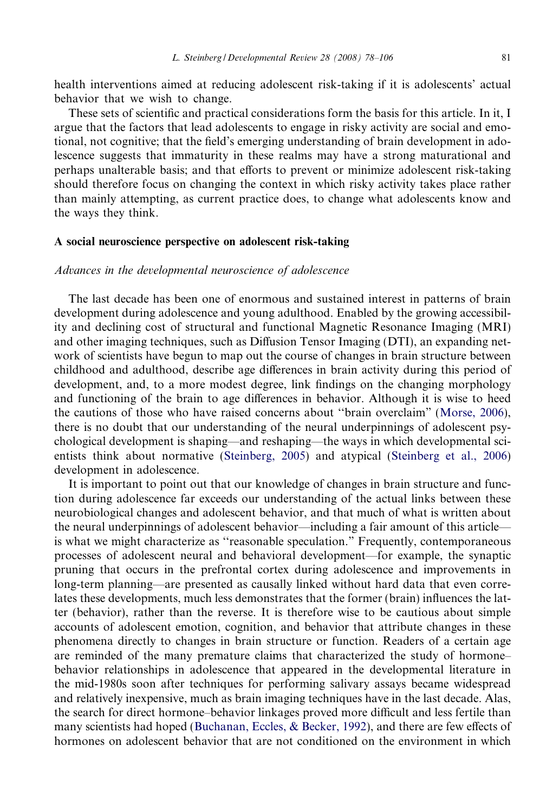health interventions aimed at reducing adolescent risk-taking if it is adolescents' actual behavior that we wish to change.

These sets of scientific and practical considerations form the basis for this article. In it, I argue that the factors that lead adolescents to engage in risky activity are social and emotional, not cognitive; that the field's emerging understanding of brain development in adolescence suggests that immaturity in these realms may have a strong maturational and perhaps unalterable basis; and that efforts to prevent or minimize adolescent risk-taking should therefore focus on changing the context in which risky activity takes place rather than mainly attempting, as current practice does, to change what adolescents know and the ways they think.

# A social neuroscience perspective on adolescent risk-taking

#### Advances in the developmental neuroscience of adolescence

The last decade has been one of enormous and sustained interest in patterns of brain development during adolescence and young adulthood. Enabled by the growing accessibility and declining cost of structural and functional Magnetic Resonance Imaging (MRI) and other imaging techniques, such as Diffusion Tensor Imaging (DTI), an expanding network of scientists have begun to map out the course of changes in brain structure between childhood and adulthood, describe age differences in brain activity during this period of development, and, to a more modest degree, link findings on the changing morphology and functioning of the brain to age differences in behavior. Although it is wise to heed the cautions of those who have raised concerns about ''brain overclaim" [\(Morse, 2006\)](#page-26-0), there is no doubt that our understanding of the neural underpinnings of adolescent psychological development is shaping—and reshaping—the ways in which developmental scientists think about normative ([Steinberg, 2005\)](#page-27-0) and atypical ([Steinberg et al., 2006\)](#page-27-0) development in adolescence.

It is important to point out that our knowledge of changes in brain structure and function during adolescence far exceeds our understanding of the actual links between these neurobiological changes and adolescent behavior, and that much of what is written about the neural underpinnings of adolescent behavior—including a fair amount of this article is what we might characterize as ''reasonable speculation." Frequently, contemporaneous processes of adolescent neural and behavioral development—for example, the synaptic pruning that occurs in the prefrontal cortex during adolescence and improvements in long-term planning—are presented as causally linked without hard data that even correlates these developments, much less demonstrates that the former (brain) influences the latter (behavior), rather than the reverse. It is therefore wise to be cautious about simple accounts of adolescent emotion, cognition, and behavior that attribute changes in these phenomena directly to changes in brain structure or function. Readers of a certain age are reminded of the many premature claims that characterized the study of hormone– behavior relationships in adolescence that appeared in the developmental literature in the mid-1980s soon after techniques for performing salivary assays became widespread and relatively inexpensive, much as brain imaging techniques have in the last decade. Alas, the search for direct hormone–behavior linkages proved more difficult and less fertile than many scientists had hoped ([Buchanan, Eccles, & Becker, 1992\)](#page-23-0), and there are few effects of hormones on adolescent behavior that are not conditioned on the environment in which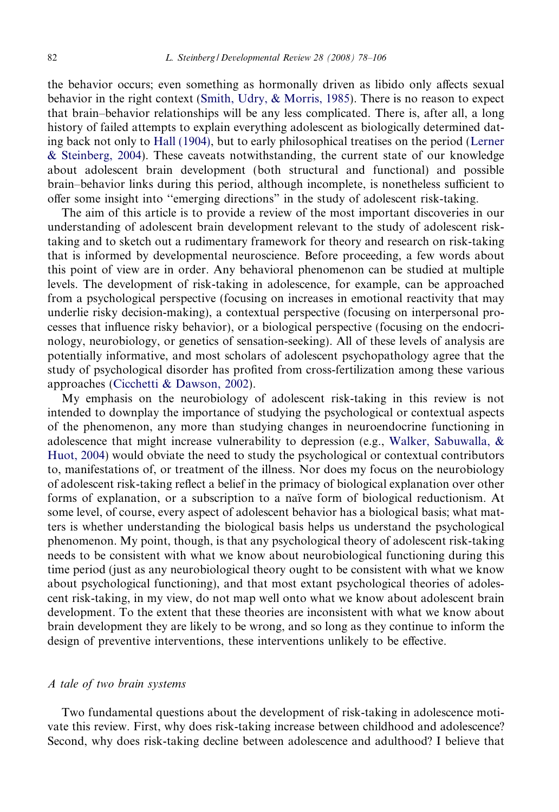the behavior occurs; even something as hormonally driven as libido only affects sexual behavior in the right context [\(Smith, Udry, & Morris, 1985\)](#page-27-0). There is no reason to expect that brain–behavior relationships will be any less complicated. There is, after all, a long history of failed attempts to explain everything adolescent as biologically determined dating back not only to [Hall \(1904\)](#page-25-0), but to early philosophical treatises on the period ([Lerner](#page-25-0) [& Steinberg, 2004](#page-25-0)). These caveats notwithstanding, the current state of our knowledge about adolescent brain development (both structural and functional) and possible brain–behavior links during this period, although incomplete, is nonetheless sufficient to offer some insight into ''emerging directions" in the study of adolescent risk-taking.

The aim of this article is to provide a review of the most important discoveries in our understanding of adolescent brain development relevant to the study of adolescent risktaking and to sketch out a rudimentary framework for theory and research on risk-taking that is informed by developmental neuroscience. Before proceeding, a few words about this point of view are in order. Any behavioral phenomenon can be studied at multiple levels. The development of risk-taking in adolescence, for example, can be approached from a psychological perspective (focusing on increases in emotional reactivity that may underlie risky decision-making), a contextual perspective (focusing on interpersonal processes that influence risky behavior), or a biological perspective (focusing on the endocrinology, neurobiology, or genetics of sensation-seeking). All of these levels of analysis are potentially informative, and most scholars of adolescent psychopathology agree that the study of psychological disorder has profited from cross-fertilization among these various approaches ([Cicchetti & Dawson, 2002](#page-23-0)).

My emphasis on the neurobiology of adolescent risk-taking in this review is not intended to downplay the importance of studying the psychological or contextual aspects of the phenomenon, any more than studying changes in neuroendocrine functioning in adolescence that might increase vulnerability to depression (e.g., [Walker, Sabuwalla, &](#page-28-0) [Huot, 2004\)](#page-28-0) would obviate the need to study the psychological or contextual contributors to, manifestations of, or treatment of the illness. Nor does my focus on the neurobiology of adolescent risk-taking reflect a belief in the primacy of biological explanation over other forms of explanation, or a subscription to a naïve form of biological reductionism. At some level, of course, every aspect of adolescent behavior has a biological basis; what matters is whether understanding the biological basis helps us understand the psychological phenomenon. My point, though, is that any psychological theory of adolescent risk-taking needs to be consistent with what we know about neurobiological functioning during this time period (just as any neurobiological theory ought to be consistent with what we know about psychological functioning), and that most extant psychological theories of adolescent risk-taking, in my view, do not map well onto what we know about adolescent brain development. To the extent that these theories are inconsistent with what we know about brain development they are likely to be wrong, and so long as they continue to inform the design of preventive interventions, these interventions unlikely to be effective.

# A tale of two brain systems

Two fundamental questions about the development of risk-taking in adolescence motivate this review. First, why does risk-taking increase between childhood and adolescence? Second, why does risk-taking decline between adolescence and adulthood? I believe that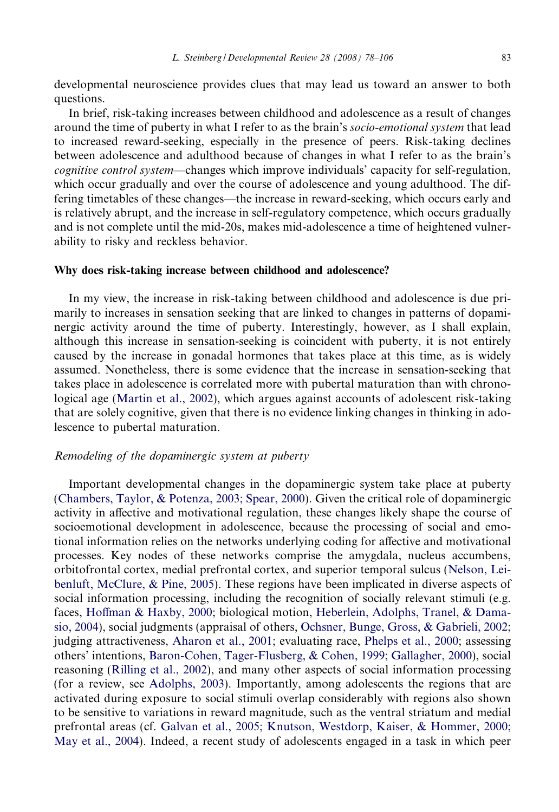developmental neuroscience provides clues that may lead us toward an answer to both questions.

In brief, risk-taking increases between childhood and adolescence as a result of changes around the time of puberty in what I refer to as the brain's socio-emotional system that lead to increased reward-seeking, especially in the presence of peers. Risk-taking declines between adolescence and adulthood because of changes in what I refer to as the brain's cognitive control system—changes which improve individuals' capacity for self-regulation, which occur gradually and over the course of adolescence and young adulthood. The differing timetables of these changes—the increase in reward-seeking, which occurs early and is relatively abrupt, and the increase in self-regulatory competence, which occurs gradually and is not complete until the mid-20s, makes mid-adolescence a time of heightened vulnerability to risky and reckless behavior.

#### Why does risk-taking increase between childhood and adolescence?

In my view, the increase in risk-taking between childhood and adolescence is due primarily to increases in sensation seeking that are linked to changes in patterns of dopaminergic activity around the time of puberty. Interestingly, however, as I shall explain, although this increase in sensation-seeking is coincident with puberty, it is not entirely caused by the increase in gonadal hormones that takes place at this time, as is widely assumed. Nonetheless, there is some evidence that the increase in sensation-seeking that takes place in adolescence is correlated more with pubertal maturation than with chronological age ([Martin et al., 2002\)](#page-26-0), which argues against accounts of adolescent risk-taking that are solely cognitive, given that there is no evidence linking changes in thinking in adolescence to pubertal maturation.

## Remodeling of the dopaminergic system at puberty

Important developmental changes in the dopaminergic system take place at puberty ([Chambers, Taylor, & Potenza, 2003; Spear, 2000](#page-23-0)). Given the critical role of dopaminergic activity in affective and motivational regulation, these changes likely shape the course of socioemotional development in adolescence, because the processing of social and emotional information relies on the networks underlying coding for affective and motivational processes. Key nodes of these networks comprise the amygdala, nucleus accumbens, orbitofrontal cortex, medial prefrontal cortex, and superior temporal sulcus [\(Nelson, Lei](#page-26-0)[benluft, McClure, & Pine, 2005](#page-26-0)). These regions have been implicated in diverse aspects of social information processing, including the recognition of socially relevant stimuli (e.g. faces, [Hoffman & Haxby, 2000;](#page-25-0) biological motion, [Heberlein, Adolphs, Tranel, & Dama](#page-25-0)[sio, 2004\)](#page-25-0), social judgments (appraisal of others, [Ochsner, Bunge, Gross, & Gabrieli, 2002](#page-26-0); judging attractiveness, [Aharon et al., 2001](#page-22-0); evaluating race, [Phelps et al., 2000;](#page-26-0) assessing others' intentions, [Baron-Cohen, Tager-Flusberg, & Cohen, 1999; Gallagher, 2000](#page-23-0)), social reasoning [\(Rilling et al., 2002](#page-26-0)), and many other aspects of social information processing (for a review, see [Adolphs, 2003\)](#page-22-0). Importantly, among adolescents the regions that are activated during exposure to social stimuli overlap considerably with regions also shown to be sensitive to variations in reward magnitude, such as the ventral striatum and medial prefrontal areas (cf. [Galvan et al., 2005; Knutson, Westdorp, Kaiser, & Hommer, 2000;](#page-24-0) [May et al., 2004](#page-24-0)). Indeed, a recent study of adolescents engaged in a task in which peer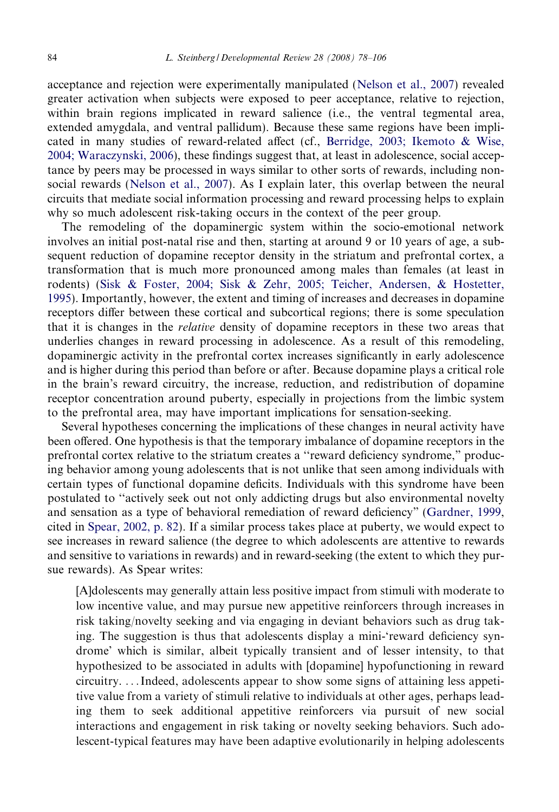acceptance and rejection were experimentally manipulated ([Nelson et al., 2007](#page-26-0)) revealed greater activation when subjects were exposed to peer acceptance, relative to rejection, within brain regions implicated in reward salience (i.e., the ventral tegmental area, extended amygdala, and ventral pallidum). Because these same regions have been implicated in many studies of reward-related affect (cf., [Berridge, 2003; Ikemoto & Wise,](#page-23-0) [2004; Waraczynski, 2006](#page-23-0)), these findings suggest that, at least in adolescence, social acceptance by peers may be processed in ways similar to other sorts of rewards, including nonsocial rewards ([Nelson et al., 2007](#page-26-0)). As I explain later, this overlap between the neural circuits that mediate social information processing and reward processing helps to explain why so much adolescent risk-taking occurs in the context of the peer group.

The remodeling of the dopaminergic system within the socio-emotional network involves an initial post-natal rise and then, starting at around 9 or 10 years of age, a subsequent reduction of dopamine receptor density in the striatum and prefrontal cortex, a transformation that is much more pronounced among males than females (at least in rodents) ([Sisk & Foster, 2004; Sisk & Zehr, 2005; Teicher, Andersen, & Hostetter,](#page-27-0) [1995\)](#page-27-0). Importantly, however, the extent and timing of increases and decreases in dopamine receptors differ between these cortical and subcortical regions; there is some speculation that it is changes in the relative density of dopamine receptors in these two areas that underlies changes in reward processing in adolescence. As a result of this remodeling, dopaminergic activity in the prefrontal cortex increases significantly in early adolescence and is higher during this period than before or after. Because dopamine plays a critical role in the brain's reward circuitry, the increase, reduction, and redistribution of dopamine receptor concentration around puberty, especially in projections from the limbic system to the prefrontal area, may have important implications for sensation-seeking.

Several hypotheses concerning the implications of these changes in neural activity have been offered. One hypothesis is that the temporary imbalance of dopamine receptors in the prefrontal cortex relative to the striatum creates a ''reward deficiency syndrome," producing behavior among young adolescents that is not unlike that seen among individuals with certain types of functional dopamine deficits. Individuals with this syndrome have been postulated to ''actively seek out not only addicting drugs but also environmental novelty and sensation as a type of behavioral remediation of reward deficiency" [\(Gardner, 1999,](#page-25-0) cited in [Spear, 2002, p. 82\)](#page-27-0). If a similar process takes place at puberty, we would expect to see increases in reward salience (the degree to which adolescents are attentive to rewards and sensitive to variations in rewards) and in reward-seeking (the extent to which they pursue rewards). As Spear writes:

[A]dolescents may generally attain less positive impact from stimuli with moderate to low incentive value, and may pursue new appetitive reinforcers through increases in risk taking/novelty seeking and via engaging in deviant behaviors such as drug taking. The suggestion is thus that adolescents display a mini-'reward deficiency syndrome' which is similar, albeit typically transient and of lesser intensity, to that hypothesized to be associated in adults with [dopamine] hypofunctioning in reward circuitry. ...Indeed, adolescents appear to show some signs of attaining less appetitive value from a variety of stimuli relative to individuals at other ages, perhaps leading them to seek additional appetitive reinforcers via pursuit of new social interactions and engagement in risk taking or novelty seeking behaviors. Such adolescent-typical features may have been adaptive evolutionarily in helping adolescents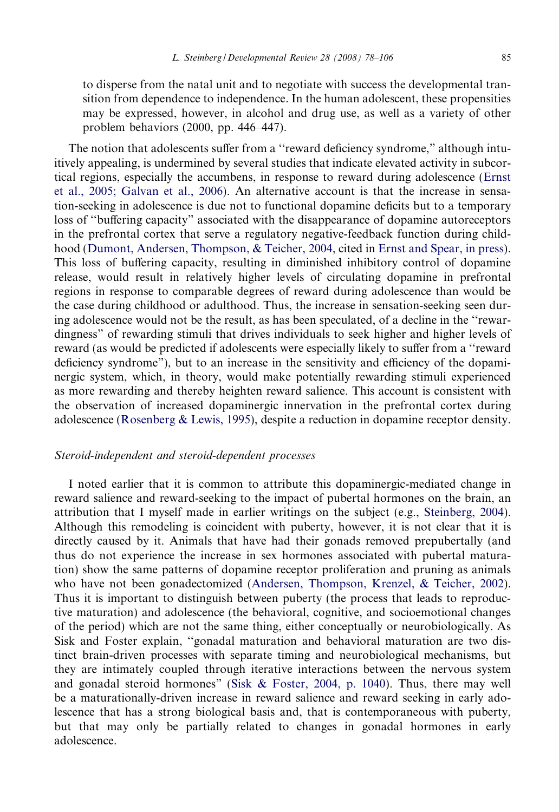to disperse from the natal unit and to negotiate with success the developmental transition from dependence to independence. In the human adolescent, these propensities may be expressed, however, in alcohol and drug use, as well as a variety of other problem behaviors (2000, pp. 446–447).

The notion that adolescents suffer from a ''reward deficiency syndrome," although intuitively appealing, is undermined by several studies that indicate elevated activity in subcortical regions, especially the accumbens, in response to reward during adolescence ([Ernst](#page-24-0) [et al., 2005; Galvan et al., 2006\)](#page-24-0). An alternative account is that the increase in sensation-seeking in adolescence is due not to functional dopamine deficits but to a temporary loss of ''buffering capacity" associated with the disappearance of dopamine autoreceptors in the prefrontal cortex that serve a regulatory negative-feedback function during childhood [\(Dumont, Andersen, Thompson, & Teicher, 2004](#page-24-0), cited in [Ernst and Spear, in press\)](#page-24-0). This loss of buffering capacity, resulting in diminished inhibitory control of dopamine release, would result in relatively higher levels of circulating dopamine in prefrontal regions in response to comparable degrees of reward during adolescence than would be the case during childhood or adulthood. Thus, the increase in sensation-seeking seen during adolescence would not be the result, as has been speculated, of a decline in the ''rewardingness" of rewarding stimuli that drives individuals to seek higher and higher levels of reward (as would be predicted if adolescents were especially likely to suffer from a ''reward deficiency syndrome"), but to an increase in the sensitivity and efficiency of the dopaminergic system, which, in theory, would make potentially rewarding stimuli experienced as more rewarding and thereby heighten reward salience. This account is consistent with the observation of increased dopaminergic innervation in the prefrontal cortex during adolescence [\(Rosenberg & Lewis, 1995\)](#page-27-0), despite a reduction in dopamine receptor density.

# Steroid-independent and steroid-dependent processes

I noted earlier that it is common to attribute this dopaminergic-mediated change in reward salience and reward-seeking to the impact of pubertal hormones on the brain, an attribution that I myself made in earlier writings on the subject (e.g., [Steinberg, 2004\)](#page-27-0). Although this remodeling is coincident with puberty, however, it is not clear that it is directly caused by it. Animals that have had their gonads removed prepubertally (and thus do not experience the increase in sex hormones associated with pubertal maturation) show the same patterns of dopamine receptor proliferation and pruning as animals who have not been gonadectomized ([Andersen, Thompson, Krenzel, & Teicher, 2002\)](#page-22-0). Thus it is important to distinguish between puberty (the process that leads to reproductive maturation) and adolescence (the behavioral, cognitive, and socioemotional changes of the period) which are not the same thing, either conceptually or neurobiologically. As Sisk and Foster explain, ''gonadal maturation and behavioral maturation are two distinct brain-driven processes with separate timing and neurobiological mechanisms, but they are intimately coupled through iterative interactions between the nervous system and gonadal steroid hormones" ([Sisk & Foster, 2004, p. 1040\)](#page-27-0). Thus, there may well be a maturationally-driven increase in reward salience and reward seeking in early adolescence that has a strong biological basis and, that is contemporaneous with puberty, but that may only be partially related to changes in gonadal hormones in early adolescence.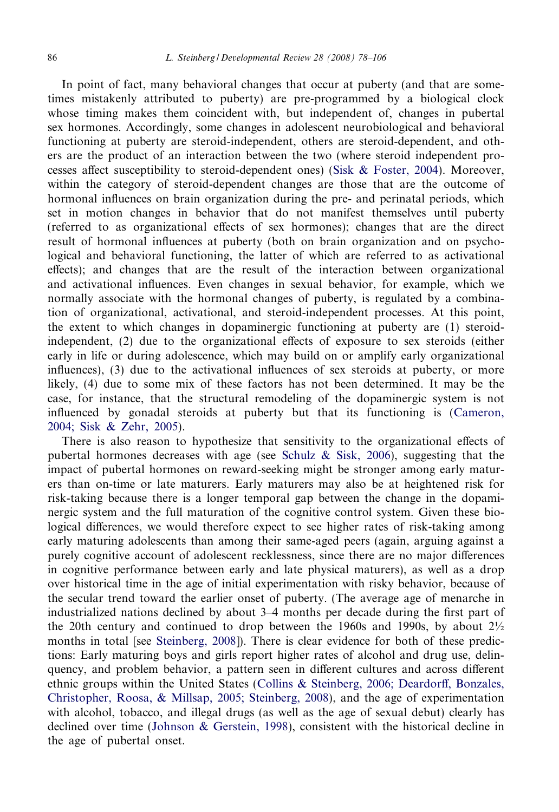In point of fact, many behavioral changes that occur at puberty (and that are sometimes mistakenly attributed to puberty) are pre-programmed by a biological clock whose timing makes them coincident with, but independent of, changes in pubertal sex hormones. Accordingly, some changes in adolescent neurobiological and behavioral functioning at puberty are steroid-independent, others are steroid-dependent, and others are the product of an interaction between the two (where steroid independent processes affect susceptibility to steroid-dependent ones) ([Sisk & Foster, 2004](#page-27-0)). Moreover, within the category of steroid-dependent changes are those that are the outcome of hormonal influences on brain organization during the pre- and perinatal periods, which set in motion changes in behavior that do not manifest themselves until puberty (referred to as organizational effects of sex hormones); changes that are the direct result of hormonal influences at puberty (both on brain organization and on psychological and behavioral functioning, the latter of which are referred to as activational effects); and changes that are the result of the interaction between organizational and activational influences. Even changes in sexual behavior, for example, which we normally associate with the hormonal changes of puberty, is regulated by a combination of organizational, activational, and steroid-independent processes. At this point, the extent to which changes in dopaminergic functioning at puberty are (1) steroidindependent, (2) due to the organizational effects of exposure to sex steroids (either early in life or during adolescence, which may build on or amplify early organizational influences), (3) due to the activational influences of sex steroids at puberty, or more likely, (4) due to some mix of these factors has not been determined. It may be the case, for instance, that the structural remodeling of the dopaminergic system is not influenced by gonadal steroids at puberty but that its functioning is ([Cameron,](#page-23-0) [2004; Sisk & Zehr, 2005](#page-23-0)).

There is also reason to hypothesize that sensitivity to the organizational effects of pubertal hormones decreases with age (see [Schulz & Sisk, 2006\)](#page-27-0), suggesting that the impact of pubertal hormones on reward-seeking might be stronger among early maturers than on-time or late maturers. Early maturers may also be at heightened risk for risk-taking because there is a longer temporal gap between the change in the dopaminergic system and the full maturation of the cognitive control system. Given these biological differences, we would therefore expect to see higher rates of risk-taking among early maturing adolescents than among their same-aged peers (again, arguing against a purely cognitive account of adolescent recklessness, since there are no major differences in cognitive performance between early and late physical maturers), as well as a drop over historical time in the age of initial experimentation with risky behavior, because of the secular trend toward the earlier onset of puberty. (The average age of menarche in industrialized nations declined by about 3–4 months per decade during the first part of the 20th century and continued to drop between the 1960s and 1990s, by about 2½ months in total [see [Steinberg, 2008\]](#page-27-0)). There is clear evidence for both of these predictions: Early maturing boys and girls report higher rates of alcohol and drug use, delinquency, and problem behavior, a pattern seen in different cultures and across different ethnic groups within the United States [\(Collins & Steinberg, 2006; Deardorff, Bonzales,](#page-24-0) [Christopher, Roosa, & Millsap, 2005; Steinberg, 2008](#page-24-0)), and the age of experimentation with alcohol, tobacco, and illegal drugs (as well as the age of sexual debut) clearly has declined over time [\(Johnson & Gerstein, 1998](#page-25-0)), consistent with the historical decline in the age of pubertal onset.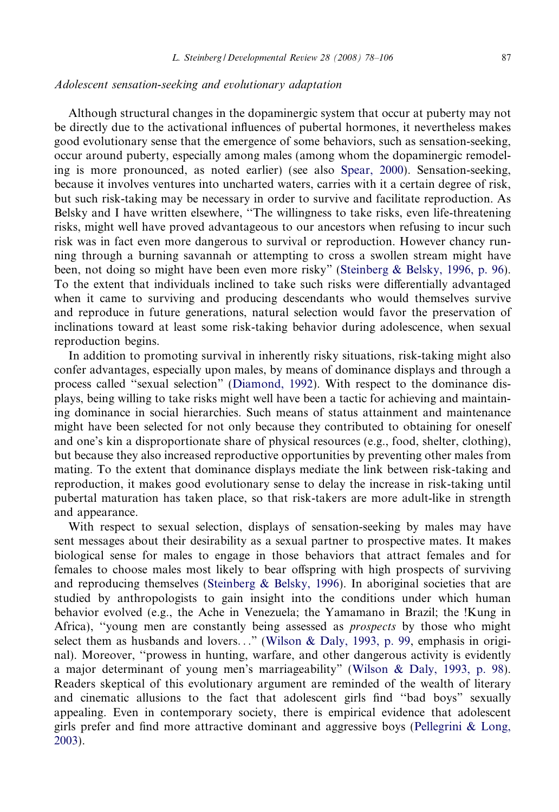#### Adolescent sensation-seeking and evolutionary adaptation

Although structural changes in the dopaminergic system that occur at puberty may not be directly due to the activational influences of pubertal hormones, it nevertheless makes good evolutionary sense that the emergence of some behaviors, such as sensation-seeking, occur around puberty, especially among males (among whom the dopaminergic remodeling is more pronounced, as noted earlier) (see also [Spear, 2000\)](#page-27-0). Sensation-seeking, because it involves ventures into uncharted waters, carries with it a certain degree of risk, but such risk-taking may be necessary in order to survive and facilitate reproduction. As Belsky and I have written elsewhere, ''The willingness to take risks, even life-threatening risks, might well have proved advantageous to our ancestors when refusing to incur such risk was in fact even more dangerous to survival or reproduction. However chancy running through a burning savannah or attempting to cross a swollen stream might have been, not doing so might have been even more risky" [\(Steinberg & Belsky, 1996, p. 96\)](#page-27-0). To the extent that individuals inclined to take such risks were differentially advantaged when it came to surviving and producing descendants who would themselves survive and reproduce in future generations, natural selection would favor the preservation of inclinations toward at least some risk-taking behavior during adolescence, when sexual reproduction begins.

In addition to promoting survival in inherently risky situations, risk-taking might also confer advantages, especially upon males, by means of dominance displays and through a process called ''sexual selection" ([Diamond, 1992](#page-24-0)). With respect to the dominance displays, being willing to take risks might well have been a tactic for achieving and maintaining dominance in social hierarchies. Such means of status attainment and maintenance might have been selected for not only because they contributed to obtaining for oneself and one's kin a disproportionate share of physical resources (e.g., food, shelter, clothing), but because they also increased reproductive opportunities by preventing other males from mating. To the extent that dominance displays mediate the link between risk-taking and reproduction, it makes good evolutionary sense to delay the increase in risk-taking until pubertal maturation has taken place, so that risk-takers are more adult-like in strength and appearance.

With respect to sexual selection, displays of sensation-seeking by males may have sent messages about their desirability as a sexual partner to prospective mates. It makes biological sense for males to engage in those behaviors that attract females and for females to choose males most likely to bear offspring with high prospects of surviving and reproducing themselves ([Steinberg & Belsky, 1996](#page-27-0)). In aboriginal societies that are studied by anthropologists to gain insight into the conditions under which human behavior evolved (e.g., the Ache in Venezuela; the Yamamano in Brazil; the !Kung in Africa), ''young men are constantly being assessed as prospects by those who might select them as husbands and lovers..." [\(Wilson & Daly, 1993, p. 99,](#page-28-0) emphasis in original). Moreover, ''prowess in hunting, warfare, and other dangerous activity is evidently a major determinant of young men's marriageability" ([Wilson & Daly, 1993, p. 98\)](#page-28-0). Readers skeptical of this evolutionary argument are reminded of the wealth of literary and cinematic allusions to the fact that adolescent girls find ''bad boys" sexually appealing. Even in contemporary society, there is empirical evidence that adolescent girls prefer and find more attractive dominant and aggressive boys (Pellegrini  $\&$  Long, [2003](#page-26-0)).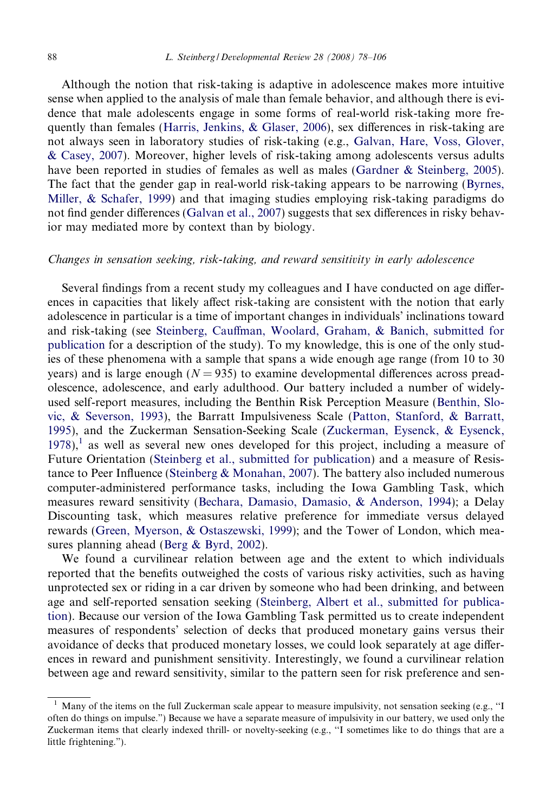#### 88 L. Steinberg / Developmental Review 28 (2008) 78–106

Although the notion that risk-taking is adaptive in adolescence makes more intuitive sense when applied to the analysis of male than female behavior, and although there is evidence that male adolescents engage in some forms of real-world risk-taking more frequently than females ([Harris, Jenkins, & Glaser, 2006\)](#page-25-0), sex differences in risk-taking are not always seen in laboratory studies of risk-taking (e.g., [Galvan, Hare, Voss, Glover,](#page-24-0) [& Casey, 2007\)](#page-24-0). Moreover, higher levels of risk-taking among adolescents versus adults have been reported in studies of females as well as males ([Gardner & Steinberg, 2005](#page-25-0)). The fact that the gender gap in real-world risk-taking appears to be narrowing [\(Byrnes,](#page-23-0) [Miller, & Schafer, 1999](#page-23-0)) and that imaging studies employing risk-taking paradigms do not find gender differences [\(Galvan et al., 2007](#page-24-0)) suggests that sex differences in risky behavior may mediated more by context than by biology.

## Changes in sensation seeking, risk-taking, and reward sensitivity in early adolescence

Several findings from a recent study my colleagues and I have conducted on age differences in capacities that likely affect risk-taking are consistent with the notion that early adolescence in particular is a time of important changes in individuals' inclinations toward and risk-taking (see [Steinberg, Cauffman, Woolard, Graham, & Banich, submitted for](#page-27-0) [publication](#page-27-0) for a description of the study). To my knowledge, this is one of the only studies of these phenomena with a sample that spans a wide enough age range (from 10 to 30 years) and is large enough  $(N = 935)$  to examine developmental differences across preadolescence, adolescence, and early adulthood. Our battery included a number of widelyused self-report measures, including the Benthin Risk Perception Measure ([Benthin, Slo](#page-23-0)[vic, & Severson, 1993\)](#page-23-0), the Barratt Impulsiveness Scale [\(Patton, Stanford, & Barratt,](#page-26-0) [1995\)](#page-26-0), and the Zuckerman Sensation-Seeking Scale ([Zuckerman, Eysenck, & Eysenck,](#page-28-0)  $1978$ ),<sup>1</sup> as well as several new ones developed for this project, including a measure of Future Orientation ([Steinberg et al., submitted for publication\)](#page-27-0) and a measure of Resis-tance to Peer Influence ([Steinberg & Monahan, 2007\)](#page-27-0). The battery also included numerous computer-administered performance tasks, including the Iowa Gambling Task, which measures reward sensitivity [\(Bechara, Damasio, Damasio, & Anderson, 1994](#page-23-0)); a Delay Discounting task, which measures relative preference for immediate versus delayed rewards ([Green, Myerson, & Ostaszewski, 1999\)](#page-25-0); and the Tower of London, which mea-sures planning ahead [\(Berg & Byrd, 2002](#page-23-0)).

We found a curvilinear relation between age and the extent to which individuals reported that the benefits outweighed the costs of various risky activities, such as having unprotected sex or riding in a car driven by someone who had been drinking, and between age and self-reported sensation seeking ([Steinberg, Albert et al., submitted for publica](#page-27-0)[tion\)](#page-27-0). Because our version of the Iowa Gambling Task permitted us to create independent measures of respondents' selection of decks that produced monetary gains versus their avoidance of decks that produced monetary losses, we could look separately at age differences in reward and punishment sensitivity. Interestingly, we found a curvilinear relation between age and reward sensitivity, similar to the pattern seen for risk preference and sen-

 $1$  Many of the items on the full Zuckerman scale appear to measure impulsivity, not sensation seeking (e.g., "I often do things on impulse.") Because we have a separate measure of impulsivity in our battery, we used only the Zuckerman items that clearly indexed thrill- or novelty-seeking (e.g., ''I sometimes like to do things that are a little frightening.").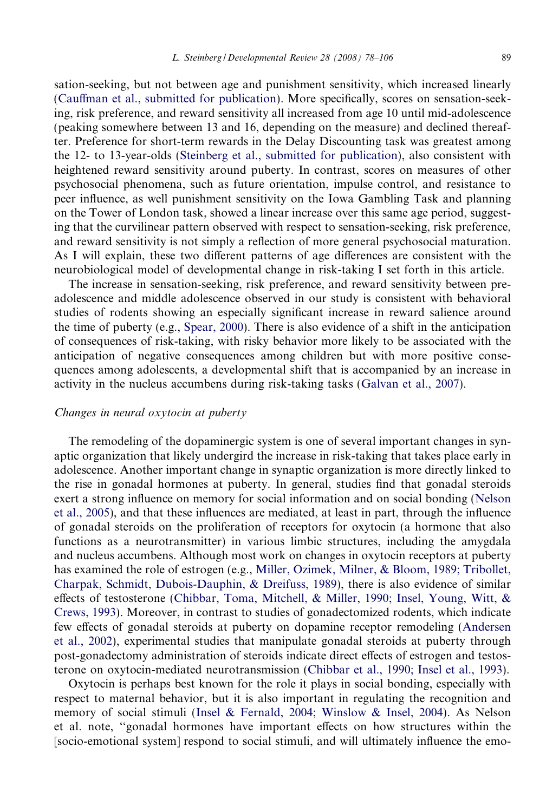sation-seeking, but not between age and punishment sensitivity, which increased linearly ([Cauffman et al., submitted for publication\)](#page-23-0). More specifically, scores on sensation-seeking, risk preference, and reward sensitivity all increased from age 10 until mid-adolescence (peaking somewhere between 13 and 16, depending on the measure) and declined thereafter. Preference for short-term rewards in the Delay Discounting task was greatest among the 12- to 13-year-olds ([Steinberg et al., submitted for publication](#page-27-0)), also consistent with heightened reward sensitivity around puberty. In contrast, scores on measures of other psychosocial phenomena, such as future orientation, impulse control, and resistance to peer influence, as well punishment sensitivity on the Iowa Gambling Task and planning on the Tower of London task, showed a linear increase over this same age period, suggesting that the curvilinear pattern observed with respect to sensation-seeking, risk preference, and reward sensitivity is not simply a reflection of more general psychosocial maturation. As I will explain, these two different patterns of age differences are consistent with the neurobiological model of developmental change in risk-taking I set forth in this article.

The increase in sensation-seeking, risk preference, and reward sensitivity between preadolescence and middle adolescence observed in our study is consistent with behavioral studies of rodents showing an especially significant increase in reward salience around the time of puberty (e.g., [Spear, 2000\)](#page-27-0). There is also evidence of a shift in the anticipation of consequences of risk-taking, with risky behavior more likely to be associated with the anticipation of negative consequences among children but with more positive consequences among adolescents, a developmental shift that is accompanied by an increase in activity in the nucleus accumbens during risk-taking tasks [\(Galvan et al., 2007\)](#page-24-0).

# Changes in neural oxytocin at puberty

The remodeling of the dopaminergic system is one of several important changes in synaptic organization that likely undergird the increase in risk-taking that takes place early in adolescence. Another important change in synaptic organization is more directly linked to the rise in gonadal hormones at puberty. In general, studies find that gonadal steroids exert a strong influence on memory for social information and on social bonding ([Nelson](#page-26-0) [et al., 2005\)](#page-26-0), and that these influences are mediated, at least in part, through the influence of gonadal steroids on the proliferation of receptors for oxytocin (a hormone that also functions as a neurotransmitter) in various limbic structures, including the amygdala and nucleus accumbens. Although most work on changes in oxytocin receptors at puberty has examined the role of estrogen (e.g., [Miller, Ozimek, Milner, & Bloom, 1989; Tribollet,](#page-26-0) [Charpak, Schmidt, Dubois-Dauphin, & Dreifuss, 1989](#page-26-0)), there is also evidence of similar effects of testosterone ([Chibbar, Toma, Mitchell, & Miller, 1990; Insel, Young, Witt, &](#page-23-0) [Crews, 1993](#page-23-0)). Moreover, in contrast to studies of gonadectomized rodents, which indicate few effects of gonadal steroids at puberty on dopamine receptor remodeling [\(Andersen](#page-22-0) [et al., 2002](#page-22-0)), experimental studies that manipulate gonadal steroids at puberty through post-gonadectomy administration of steroids indicate direct effects of estrogen and testosterone on oxytocin-mediated neurotransmission ([Chibbar et al., 1990; Insel et al., 1993\)](#page-23-0).

Oxytocin is perhaps best known for the role it plays in social bonding, especially with respect to maternal behavior, but it is also important in regulating the recognition and memory of social stimuli [\(Insel & Fernald, 2004; Winslow & Insel, 2004\)](#page-25-0). As Nelson et al. note, ''gonadal hormones have important effects on how structures within the [socio-emotional system] respond to social stimuli, and will ultimately influence the emo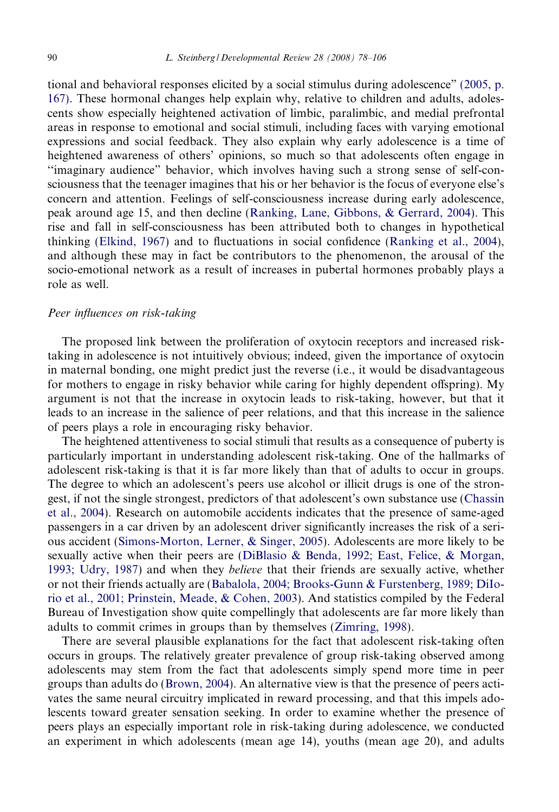tional and behavioral responses elicited by a social stimulus during adolescence" [\(2005, p.](#page-26-0) [167\)](#page-26-0). These hormonal changes help explain why, relative to children and adults, adolescents show especially heightened activation of limbic, paralimbic, and medial prefrontal areas in response to emotional and social stimuli, including faces with varying emotional expressions and social feedback. They also explain why early adolescence is a time of heightened awareness of others' opinions, so much so that adolescents often engage in ''imaginary audience" behavior, which involves having such a strong sense of self-consciousness that the teenager imagines that his or her behavior is the focus of everyone else's concern and attention. Feelings of self-consciousness increase during early adolescence, peak around age 15, and then decline [\(Ranking, Lane, Gibbons, & Gerrard, 2004](#page-26-0)). This rise and fall in self-consciousness has been attributed both to changes in hypothetical thinking ([Elkind, 1967](#page-24-0)) and to fluctuations in social confidence [\(Ranking et al., 2004](#page-26-0)), and although these may in fact be contributors to the phenomenon, the arousal of the socio-emotional network as a result of increases in pubertal hormones probably plays a role as well.

#### Peer influences on risk-taking

The proposed link between the proliferation of oxytocin receptors and increased risktaking in adolescence is not intuitively obvious; indeed, given the importance of oxytocin in maternal bonding, one might predict just the reverse (i.e., it would be disadvantageous for mothers to engage in risky behavior while caring for highly dependent offspring). My argument is not that the increase in oxytocin leads to risk-taking, however, but that it leads to an increase in the salience of peer relations, and that this increase in the salience of peers plays a role in encouraging risky behavior.

The heightened attentiveness to social stimuli that results as a consequence of puberty is particularly important in understanding adolescent risk-taking. One of the hallmarks of adolescent risk-taking is that it is far more likely than that of adults to occur in groups. The degree to which an adolescent's peers use alcohol or illicit drugs is one of the strongest, if not the single strongest, predictors of that adolescent's own substance use ([Chassin](#page-23-0) [et al., 2004](#page-23-0)). Research on automobile accidents indicates that the presence of same-aged passengers in a car driven by an adolescent driver significantly increases the risk of a serious accident [\(Simons-Morton, Lerner, & Singer, 2005\)](#page-27-0). Adolescents are more likely to be sexually active when their peers are ([DiBlasio & Benda, 1992; East, Felice, & Morgan,](#page-24-0) [1993; Udry, 1987\)](#page-24-0) and when they *believe* that their friends are sexually active, whether or not their friends actually are ([Babalola, 2004; Brooks-Gunn & Furstenberg, 1989; DiIo](#page-23-0)[rio et al., 2001; Prinstein, Meade, & Cohen, 2003](#page-23-0)). And statistics compiled by the Federal Bureau of Investigation show quite compellingly that adolescents are far more likely than adults to commit crimes in groups than by themselves [\(Zimring, 1998\)](#page-28-0).

There are several plausible explanations for the fact that adolescent risk-taking often occurs in groups. The relatively greater prevalence of group risk-taking observed among adolescents may stem from the fact that adolescents simply spend more time in peer groups than adults do [\(Brown, 2004](#page-23-0)). An alternative view is that the presence of peers activates the same neural circuitry implicated in reward processing, and that this impels adolescents toward greater sensation seeking. In order to examine whether the presence of peers plays an especially important role in risk-taking during adolescence, we conducted an experiment in which adolescents (mean age 14), youths (mean age 20), and adults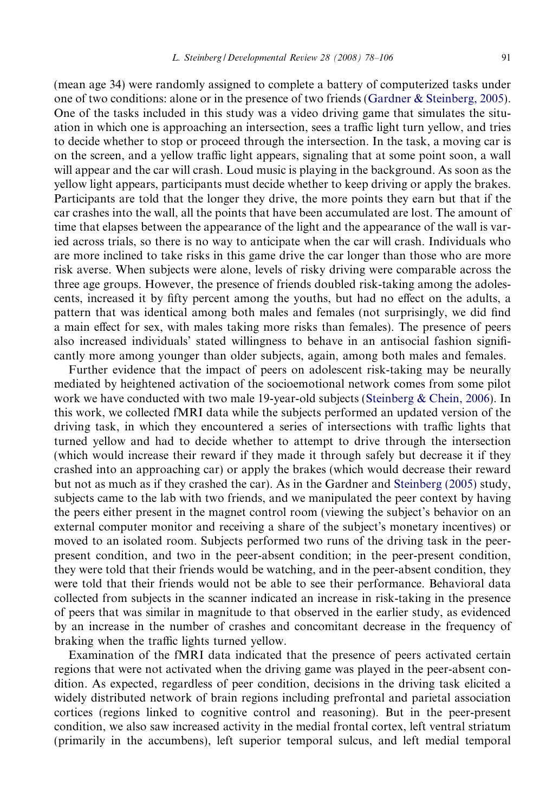(mean age 34) were randomly assigned to complete a battery of computerized tasks under one of two conditions: alone or in the presence of two friends [\(Gardner & Steinberg, 2005\)](#page-25-0). One of the tasks included in this study was a video driving game that simulates the situation in which one is approaching an intersection, sees a traffic light turn yellow, and tries to decide whether to stop or proceed through the intersection. In the task, a moving car is on the screen, and a yellow traffic light appears, signaling that at some point soon, a wall will appear and the car will crash. Loud music is playing in the background. As soon as the yellow light appears, participants must decide whether to keep driving or apply the brakes. Participants are told that the longer they drive, the more points they earn but that if the car crashes into the wall, all the points that have been accumulated are lost. The amount of time that elapses between the appearance of the light and the appearance of the wall is varied across trials, so there is no way to anticipate when the car will crash. Individuals who are more inclined to take risks in this game drive the car longer than those who are more risk averse. When subjects were alone, levels of risky driving were comparable across the three age groups. However, the presence of friends doubled risk-taking among the adolescents, increased it by fifty percent among the youths, but had no effect on the adults, a pattern that was identical among both males and females (not surprisingly, we did find a main effect for sex, with males taking more risks than females). The presence of peers also increased individuals' stated willingness to behave in an antisocial fashion significantly more among younger than older subjects, again, among both males and females.

Further evidence that the impact of peers on adolescent risk-taking may be neurally mediated by heightened activation of the socioemotional network comes from some pilot work we have conducted with two male 19-year-old subjects [\(Steinberg & Chein, 2006\)](#page-27-0). In this work, we collected fMRI data while the subjects performed an updated version of the driving task, in which they encountered a series of intersections with traffic lights that turned yellow and had to decide whether to attempt to drive through the intersection (which would increase their reward if they made it through safely but decrease it if they crashed into an approaching car) or apply the brakes (which would decrease their reward but not as much as if they crashed the car). As in the Gardner and [Steinberg \(2005\)](#page-27-0) study, subjects came to the lab with two friends, and we manipulated the peer context by having the peers either present in the magnet control room (viewing the subject's behavior on an external computer monitor and receiving a share of the subject's monetary incentives) or moved to an isolated room. Subjects performed two runs of the driving task in the peerpresent condition, and two in the peer-absent condition; in the peer-present condition, they were told that their friends would be watching, and in the peer-absent condition, they were told that their friends would not be able to see their performance. Behavioral data collected from subjects in the scanner indicated an increase in risk-taking in the presence of peers that was similar in magnitude to that observed in the earlier study, as evidenced by an increase in the number of crashes and concomitant decrease in the frequency of braking when the traffic lights turned yellow.

Examination of the fMRI data indicated that the presence of peers activated certain regions that were not activated when the driving game was played in the peer-absent condition. As expected, regardless of peer condition, decisions in the driving task elicited a widely distributed network of brain regions including prefrontal and parietal association cortices (regions linked to cognitive control and reasoning). But in the peer-present condition, we also saw increased activity in the medial frontal cortex, left ventral striatum (primarily in the accumbens), left superior temporal sulcus, and left medial temporal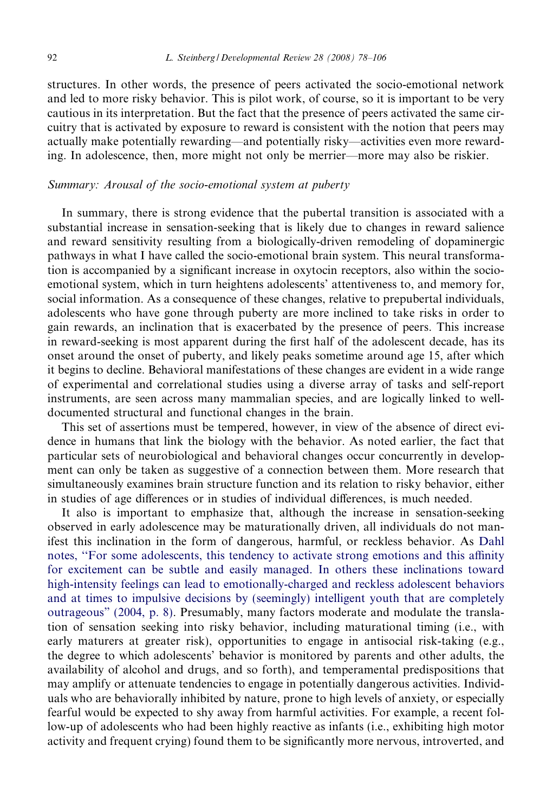structures. In other words, the presence of peers activated the socio-emotional network and led to more risky behavior. This is pilot work, of course, so it is important to be very cautious in its interpretation. But the fact that the presence of peers activated the same circuitry that is activated by exposure to reward is consistent with the notion that peers may actually make potentially rewarding—and potentially risky—activities even more rewarding. In adolescence, then, more might not only be merrier—more may also be riskier.

# Summary: Arousal of the socio-emotional system at puberty

In summary, there is strong evidence that the pubertal transition is associated with a substantial increase in sensation-seeking that is likely due to changes in reward salience and reward sensitivity resulting from a biologically-driven remodeling of dopaminergic pathways in what I have called the socio-emotional brain system. This neural transformation is accompanied by a significant increase in oxytocin receptors, also within the socioemotional system, which in turn heightens adolescents' attentiveness to, and memory for, social information. As a consequence of these changes, relative to prepubertal individuals, adolescents who have gone through puberty are more inclined to take risks in order to gain rewards, an inclination that is exacerbated by the presence of peers. This increase in reward-seeking is most apparent during the first half of the adolescent decade, has its onset around the onset of puberty, and likely peaks sometime around age 15, after which it begins to decline. Behavioral manifestations of these changes are evident in a wide range of experimental and correlational studies using a diverse array of tasks and self-report instruments, are seen across many mammalian species, and are logically linked to welldocumented structural and functional changes in the brain.

This set of assertions must be tempered, however, in view of the absence of direct evidence in humans that link the biology with the behavior. As noted earlier, the fact that particular sets of neurobiological and behavioral changes occur concurrently in development can only be taken as suggestive of a connection between them. More research that simultaneously examines brain structure function and its relation to risky behavior, either in studies of age differences or in studies of individual differences, is much needed.

It also is important to emphasize that, although the increase in sensation-seeking observed in early adolescence may be maturationally driven, all individuals do not manifest this inclination in the form of dangerous, harmful, or reckless behavior. As [Dahl](#page-24-0) [notes, ''For some adolescents, this tendency to activate strong emotions and this affinity](#page-24-0) [for excitement can be subtle and easily managed. In others these inclinations toward](#page-24-0) [high-intensity feelings can lead to emotionally-charged and reckless adolescent behaviors](#page-24-0) [and at times to impulsive decisions by \(seemingly\) intelligent youth that are completely](#page-24-0) [outrageous](#page-24-0)" [\(2004, p. 8\).](#page-24-0) Presumably, many factors moderate and modulate the translation of sensation seeking into risky behavior, including maturational timing (i.e., with early maturers at greater risk), opportunities to engage in antisocial risk-taking (e.g., the degree to which adolescents' behavior is monitored by parents and other adults, the availability of alcohol and drugs, and so forth), and temperamental predispositions that may amplify or attenuate tendencies to engage in potentially dangerous activities. Individuals who are behaviorally inhibited by nature, prone to high levels of anxiety, or especially fearful would be expected to shy away from harmful activities. For example, a recent follow-up of adolescents who had been highly reactive as infants (i.e., exhibiting high motor activity and frequent crying) found them to be significantly more nervous, introverted, and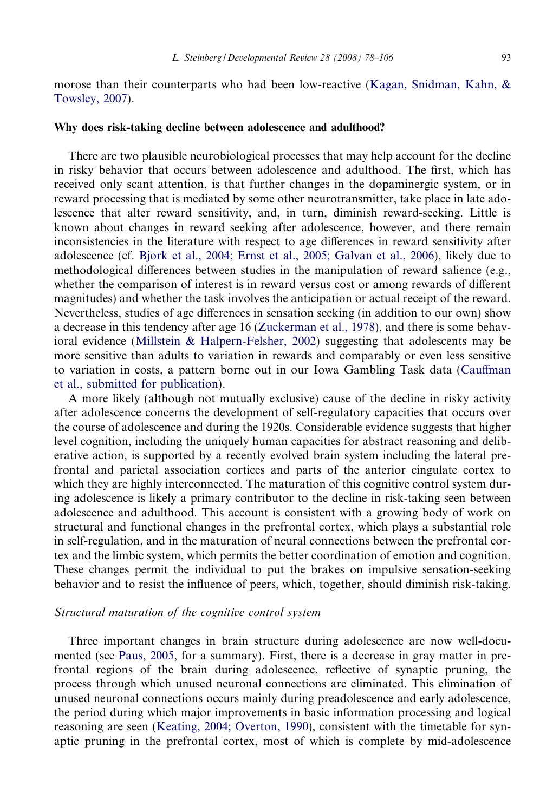morose than their counterparts who had been low-reactive ([Kagan, Snidman, Kahn, &](#page-25-0) [Towsley, 2007\)](#page-25-0).

#### Why does risk-taking decline between adolescence and adulthood?

There are two plausible neurobiological processes that may help account for the decline in risky behavior that occurs between adolescence and adulthood. The first, which has received only scant attention, is that further changes in the dopaminergic system, or in reward processing that is mediated by some other neurotransmitter, take place in late adolescence that alter reward sensitivity, and, in turn, diminish reward-seeking. Little is known about changes in reward seeking after adolescence, however, and there remain inconsistencies in the literature with respect to age differences in reward sensitivity after adolescence (cf. [Bjork et al., 2004; Ernst et al., 2005; Galvan et al., 2006\)](#page-23-0), likely due to methodological differences between studies in the manipulation of reward salience (e.g., whether the comparison of interest is in reward versus cost or among rewards of different magnitudes) and whether the task involves the anticipation or actual receipt of the reward. Nevertheless, studies of age differences in sensation seeking (in addition to our own) show a decrease in this tendency after age 16 [\(Zuckerman et al., 1978](#page-28-0)), and there is some behavioral evidence [\(Millstein & Halpern-Felsher, 2002\)](#page-26-0) suggesting that adolescents may be more sensitive than adults to variation in rewards and comparably or even less sensitive to variation in costs, a pattern borne out in our Iowa Gambling Task data ([Cauffman](#page-23-0) [et al., submitted for publication\)](#page-23-0).

A more likely (although not mutually exclusive) cause of the decline in risky activity after adolescence concerns the development of self-regulatory capacities that occurs over the course of adolescence and during the 1920s. Considerable evidence suggests that higher level cognition, including the uniquely human capacities for abstract reasoning and deliberative action, is supported by a recently evolved brain system including the lateral prefrontal and parietal association cortices and parts of the anterior cingulate cortex to which they are highly interconnected. The maturation of this cognitive control system during adolescence is likely a primary contributor to the decline in risk-taking seen between adolescence and adulthood. This account is consistent with a growing body of work on structural and functional changes in the prefrontal cortex, which plays a substantial role in self-regulation, and in the maturation of neural connections between the prefrontal cortex and the limbic system, which permits the better coordination of emotion and cognition. These changes permit the individual to put the brakes on impulsive sensation-seeking behavior and to resist the influence of peers, which, together, should diminish risk-taking.

# Structural maturation of the cognitive control system

Three important changes in brain structure during adolescence are now well-documented (see [Paus, 2005,](#page-26-0) for a summary). First, there is a decrease in gray matter in prefrontal regions of the brain during adolescence, reflective of synaptic pruning, the process through which unused neuronal connections are eliminated. This elimination of unused neuronal connections occurs mainly during preadolescence and early adolescence, the period during which major improvements in basic information processing and logical reasoning are seen [\(Keating, 2004; Overton, 1990](#page-25-0)), consistent with the timetable for synaptic pruning in the prefrontal cortex, most of which is complete by mid-adolescence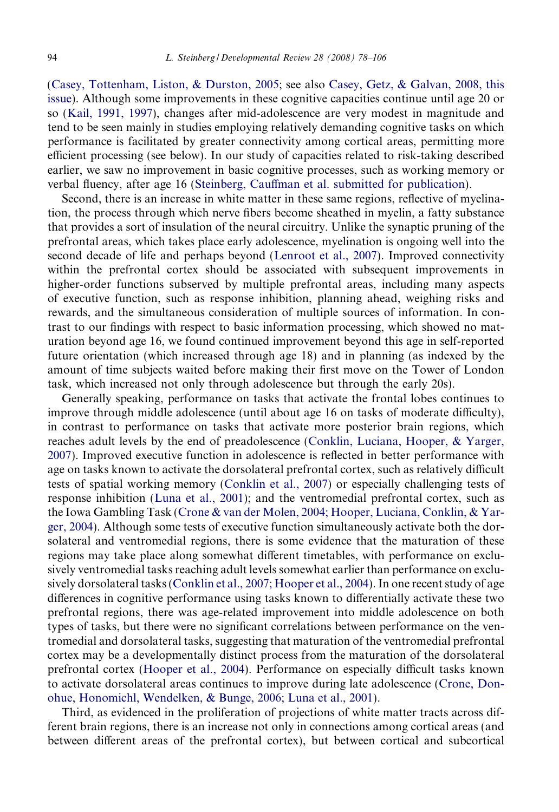[\(Casey, Tottenham, Liston, & Durston, 2005;](#page-23-0) see also [Casey, Getz, & Galvan, 2008, this](#page-23-0) [issue](#page-23-0)). Although some improvements in these cognitive capacities continue until age 20 or so [\(Kail, 1991, 1997\)](#page-25-0), changes after mid-adolescence are very modest in magnitude and tend to be seen mainly in studies employing relatively demanding cognitive tasks on which performance is facilitated by greater connectivity among cortical areas, permitting more efficient processing (see below). In our study of capacities related to risk-taking described earlier, we saw no improvement in basic cognitive processes, such as working memory or verbal fluency, after age 16 [\(Steinberg, Cauffman et al. submitted for publication](#page-27-0)).

Second, there is an increase in white matter in these same regions, reflective of myelination, the process through which nerve fibers become sheathed in myelin, a fatty substance that provides a sort of insulation of the neural circuitry. Unlike the synaptic pruning of the prefrontal areas, which takes place early adolescence, myelination is ongoing well into the second decade of life and perhaps beyond [\(Lenroot et al., 2007\)](#page-25-0). Improved connectivity within the prefrontal cortex should be associated with subsequent improvements in higher-order functions subserved by multiple prefrontal areas, including many aspects of executive function, such as response inhibition, planning ahead, weighing risks and rewards, and the simultaneous consideration of multiple sources of information. In contrast to our findings with respect to basic information processing, which showed no maturation beyond age 16, we found continued improvement beyond this age in self-reported future orientation (which increased through age 18) and in planning (as indexed by the amount of time subjects waited before making their first move on the Tower of London task, which increased not only through adolescence but through the early 20s).

Generally speaking, performance on tasks that activate the frontal lobes continues to improve through middle adolescence (until about age 16 on tasks of moderate difficulty), in contrast to performance on tasks that activate more posterior brain regions, which reaches adult levels by the end of preadolescence [\(Conklin, Luciana, Hooper, & Yarger,](#page-24-0) [2007\)](#page-24-0). Improved executive function in adolescence is reflected in better performance with age on tasks known to activate the dorsolateral prefrontal cortex, such as relatively difficult tests of spatial working memory ([Conklin et al., 2007](#page-24-0)) or especially challenging tests of response inhibition [\(Luna et al., 2001](#page-25-0)); and the ventromedial prefrontal cortex, such as the Iowa Gambling Task [\(Crone & van der Molen, 2004; Hooper, Luciana, Conklin, & Yar](#page-24-0)[ger, 2004\)](#page-24-0). Although some tests of executive function simultaneously activate both the dorsolateral and ventromedial regions, there is some evidence that the maturation of these regions may take place along somewhat different timetables, with performance on exclusively ventromedial tasks reaching adult levels somewhat earlier than performance on exclusively dorsolateral tasks ([Conklin et al., 2007; Hooper et al., 2004\)](#page-24-0). In one recent study of age differences in cognitive performance using tasks known to differentially activate these two prefrontal regions, there was age-related improvement into middle adolescence on both types of tasks, but there were no significant correlations between performance on the ventromedial and dorsolateral tasks, suggesting that maturation of the ventromedial prefrontal cortex may be a developmentally distinct process from the maturation of the dorsolateral prefrontal cortex ([Hooper et al., 2004\)](#page-25-0). Performance on especially difficult tasks known to activate dorsolateral areas continues to improve during late adolescence ([Crone, Don](#page-24-0)[ohue, Honomichl, Wendelken, & Bunge, 2006; Luna et al., 2001](#page-24-0)).

Third, as evidenced in the proliferation of projections of white matter tracts across different brain regions, there is an increase not only in connections among cortical areas (and between different areas of the prefrontal cortex), but between cortical and subcortical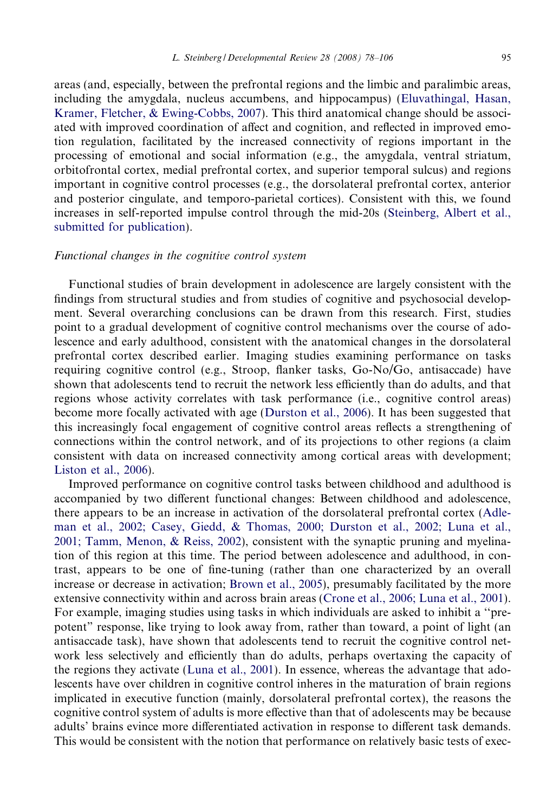areas (and, especially, between the prefrontal regions and the limbic and paralimbic areas, including the amygdala, nucleus accumbens, and hippocampus) ([Eluvathingal, Hasan,](#page-24-0) [Kramer, Fletcher, & Ewing-Cobbs, 2007\)](#page-24-0). This third anatomical change should be associated with improved coordination of affect and cognition, and reflected in improved emotion regulation, facilitated by the increased connectivity of regions important in the processing of emotional and social information (e.g., the amygdala, ventral striatum, orbitofrontal cortex, medial prefrontal cortex, and superior temporal sulcus) and regions important in cognitive control processes (e.g., the dorsolateral prefrontal cortex, anterior and posterior cingulate, and temporo-parietal cortices). Consistent with this, we found increases in self-reported impulse control through the mid-20s ([Steinberg, Albert et al.,](#page-27-0) [submitted for publication](#page-27-0)).

# Functional changes in the cognitive control system

Functional studies of brain development in adolescence are largely consistent with the findings from structural studies and from studies of cognitive and psychosocial development. Several overarching conclusions can be drawn from this research. First, studies point to a gradual development of cognitive control mechanisms over the course of adolescence and early adulthood, consistent with the anatomical changes in the dorsolateral prefrontal cortex described earlier. Imaging studies examining performance on tasks requiring cognitive control (e.g., Stroop, flanker tasks, Go-No/Go, antisaccade) have shown that adolescents tend to recruit the network less efficiently than do adults, and that regions whose activity correlates with task performance (i.e., cognitive control areas) become more focally activated with age ([Durston et al., 2006](#page-24-0)). It has been suggested that this increasingly focal engagement of cognitive control areas reflects a strengthening of connections within the control network, and of its projections to other regions (a claim consistent with data on increased connectivity among cortical areas with development; [Liston et al., 2006\)](#page-25-0).

Improved performance on cognitive control tasks between childhood and adulthood is accompanied by two different functional changes: Between childhood and adolescence, there appears to be an increase in activation of the dorsolateral prefrontal cortex [\(Adle](#page-22-0)[man et al., 2002; Casey, Giedd, & Thomas, 2000; Durston et al., 2002; Luna et al.,](#page-22-0) [2001; Tamm, Menon, & Reiss, 2002](#page-22-0)), consistent with the synaptic pruning and myelination of this region at this time. The period between adolescence and adulthood, in contrast, appears to be one of fine-tuning (rather than one characterized by an overall increase or decrease in activation; [Brown et al., 2005](#page-23-0)), presumably facilitated by the more extensive connectivity within and across brain areas ([Crone et al., 2006; Luna et al., 2001\)](#page-24-0). For example, imaging studies using tasks in which individuals are asked to inhibit a ''prepotent" response, like trying to look away from, rather than toward, a point of light (an antisaccade task), have shown that adolescents tend to recruit the cognitive control network less selectively and efficiently than do adults, perhaps overtaxing the capacity of the regions they activate ([Luna et al., 2001](#page-25-0)). In essence, whereas the advantage that adolescents have over children in cognitive control inheres in the maturation of brain regions implicated in executive function (mainly, dorsolateral prefrontal cortex), the reasons the cognitive control system of adults is more effective than that of adolescents may be because adults' brains evince more differentiated activation in response to different task demands. This would be consistent with the notion that performance on relatively basic tests of exec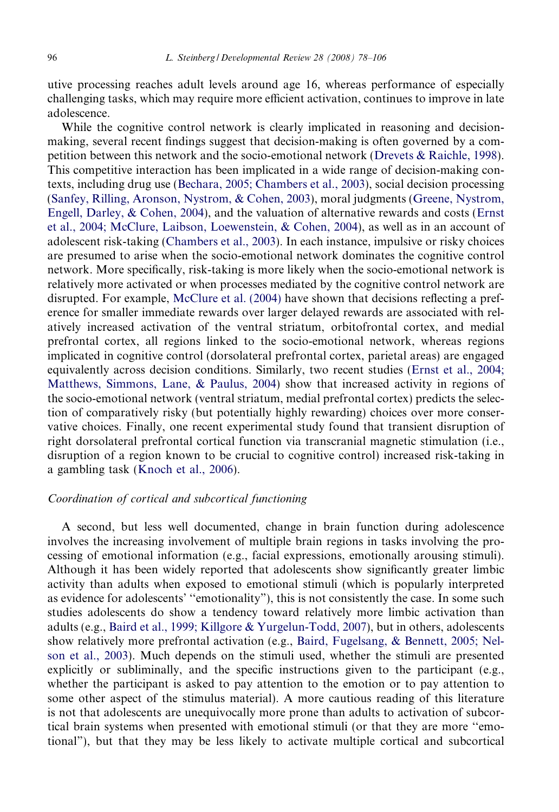utive processing reaches adult levels around age 16, whereas performance of especially challenging tasks, which may require more efficient activation, continues to improve in late adolescence.

While the cognitive control network is clearly implicated in reasoning and decisionmaking, several recent findings suggest that decision-making is often governed by a competition between this network and the socio-emotional network [\(Drevets & Raichle, 1998](#page-24-0)). This competitive interaction has been implicated in a wide range of decision-making contexts, including drug use ([Bechara, 2005; Chambers et al., 2003\)](#page-23-0), social decision processing [\(Sanfey, Rilling, Aronson, Nystrom, & Cohen, 2003\)](#page-27-0), moral judgments ([Greene, Nystrom,](#page-25-0) [Engell, Darley, & Cohen, 2004\)](#page-25-0), and the valuation of alternative rewards and costs [\(Ernst](#page-24-0) [et al., 2004; McClure, Laibson, Loewenstein, & Cohen, 2004\)](#page-24-0), as well as in an account of adolescent risk-taking ([Chambers et al., 2003\)](#page-23-0). In each instance, impulsive or risky choices are presumed to arise when the socio-emotional network dominates the cognitive control network. More specifically, risk-taking is more likely when the socio-emotional network is relatively more activated or when processes mediated by the cognitive control network are disrupted. For example, [McClure et al. \(2004\)](#page-26-0) have shown that decisions reflecting a preference for smaller immediate rewards over larger delayed rewards are associated with relatively increased activation of the ventral striatum, orbitofrontal cortex, and medial prefrontal cortex, all regions linked to the socio-emotional network, whereas regions implicated in cognitive control (dorsolateral prefrontal cortex, parietal areas) are engaged equivalently across decision conditions. Similarly, two recent studies ([Ernst et al., 2004;](#page-24-0) [Matthews, Simmons, Lane, & Paulus, 2004](#page-24-0)) show that increased activity in regions of the socio-emotional network (ventral striatum, medial prefrontal cortex) predicts the selection of comparatively risky (but potentially highly rewarding) choices over more conservative choices. Finally, one recent experimental study found that transient disruption of right dorsolateral prefrontal cortical function via transcranial magnetic stimulation (i.e., disruption of a region known to be crucial to cognitive control) increased risk-taking in a gambling task [\(Knoch et al., 2006](#page-25-0)).

# Coordination of cortical and subcortical functioning

A second, but less well documented, change in brain function during adolescence involves the increasing involvement of multiple brain regions in tasks involving the processing of emotional information (e.g., facial expressions, emotionally arousing stimuli). Although it has been widely reported that adolescents show significantly greater limbic activity than adults when exposed to emotional stimuli (which is popularly interpreted as evidence for adolescents' ''emotionality"), this is not consistently the case. In some such studies adolescents do show a tendency toward relatively more limbic activation than adults (e.g., [Baird et al., 1999; Killgore & Yurgelun-Todd, 2007\)](#page-23-0), but in others, adolescents show relatively more prefrontal activation (e.g., [Baird, Fugelsang, & Bennett, 2005; Nel](#page-23-0)[son et al., 2003](#page-23-0)). Much depends on the stimuli used, whether the stimuli are presented explicitly or subliminally, and the specific instructions given to the participant (e.g., whether the participant is asked to pay attention to the emotion or to pay attention to some other aspect of the stimulus material). A more cautious reading of this literature is not that adolescents are unequivocally more prone than adults to activation of subcortical brain systems when presented with emotional stimuli (or that they are more ''emotional"), but that they may be less likely to activate multiple cortical and subcortical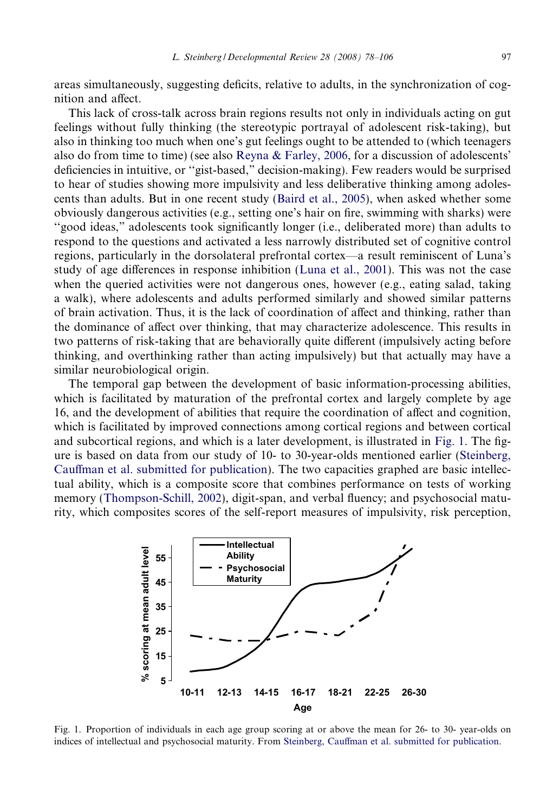nition and affect.

areas simultaneously, suggesting deficits, relative to adults, in the synchronization of cog-

This lack of cross-talk across brain regions results not only in individuals acting on gut feelings without fully thinking (the stereotypic portrayal of adolescent risk-taking), but also in thinking too much when one's gut feelings ought to be attended to (which teenagers also do from time to time) (see also [Reyna & Farley, 2006](#page-26-0), for a discussion of adolescents' deficiencies in intuitive, or ''gist-based," decision-making). Few readers would be surprised to hear of studies showing more impulsivity and less deliberative thinking among adolescents than adults. But in one recent study ([Baird et al., 2005](#page-23-0)), when asked whether some obviously dangerous activities (e.g., setting one's hair on fire, swimming with sharks) were ''good ideas," adolescents took significantly longer (i.e., deliberated more) than adults to respond to the questions and activated a less narrowly distributed set of cognitive control regions, particularly in the dorsolateral prefrontal cortex—a result reminiscent of Luna's study of age differences in response inhibition ([Luna et al., 2001\)](#page-25-0). This was not the case when the queried activities were not dangerous ones, however (e.g., eating salad, taking a walk), where adolescents and adults performed similarly and showed similar patterns of brain activation. Thus, it is the lack of coordination of affect and thinking, rather than the dominance of affect over thinking, that may characterize adolescence. This results in two patterns of risk-taking that are behaviorally quite different (impulsively acting before thinking, and overthinking rather than acting impulsively) but that actually may have a similar neurobiological origin.

The temporal gap between the development of basic information-processing abilities, which is facilitated by maturation of the prefrontal cortex and largely complete by age 16, and the development of abilities that require the coordination of affect and cognition, which is facilitated by improved connections among cortical regions and between cortical and subcortical regions, and which is a later development, is illustrated in Fig. 1. The figure is based on data from our study of 10- to 30-year-olds mentioned earlier [\(Steinberg,](#page-27-0) [Cauffman et al. submitted for publication\)](#page-27-0). The two capacities graphed are basic intellectual ability, which is a composite score that combines performance on tests of working memory ([Thompson-Schill, 2002](#page-27-0)), digit-span, and verbal fluency; and psychosocial maturity, which composites scores of the self-report measures of impulsivity, risk perception,



Fig. 1. Proportion of individuals in each age group scoring at or above the mean for 26- to 30- year-olds on indices of intellectual and psychosocial maturity. From [Steinberg, Cauffman et al. submitted for publication.](#page-27-0)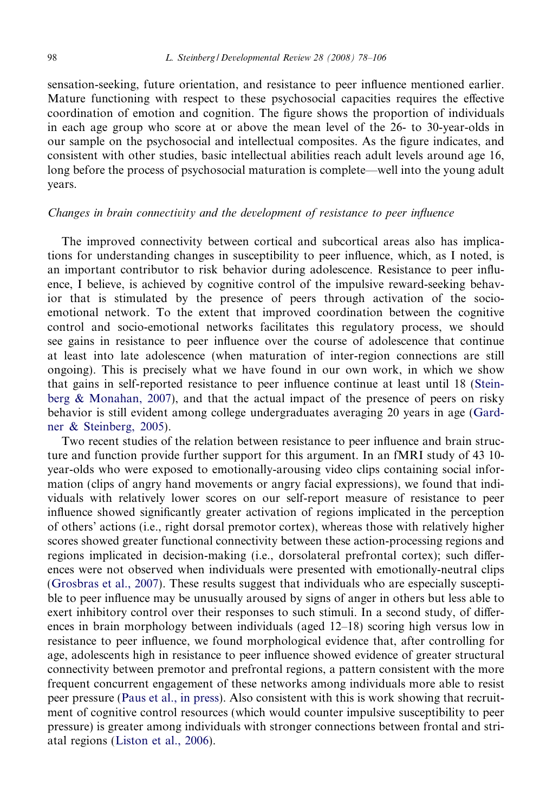sensation-seeking, future orientation, and resistance to peer influence mentioned earlier. Mature functioning with respect to these psychosocial capacities requires the effective coordination of emotion and cognition. The figure shows the proportion of individuals in each age group who score at or above the mean level of the 26- to 30-year-olds in our sample on the psychosocial and intellectual composites. As the figure indicates, and consistent with other studies, basic intellectual abilities reach adult levels around age 16, long before the process of psychosocial maturation is complete—well into the young adult years.

## Changes in brain connectivity and the development of resistance to peer influence

The improved connectivity between cortical and subcortical areas also has implications for understanding changes in susceptibility to peer influence, which, as I noted, is an important contributor to risk behavior during adolescence. Resistance to peer influence, I believe, is achieved by cognitive control of the impulsive reward-seeking behavior that is stimulated by the presence of peers through activation of the socioemotional network. To the extent that improved coordination between the cognitive control and socio-emotional networks facilitates this regulatory process, we should see gains in resistance to peer influence over the course of adolescence that continue at least into late adolescence (when maturation of inter-region connections are still ongoing). This is precisely what we have found in our own work, in which we show that gains in self-reported resistance to peer influence continue at least until 18 ([Stein](#page-27-0)[berg & Monahan, 2007](#page-27-0)), and that the actual impact of the presence of peers on risky behavior is still evident among college undergraduates averaging 20 years in age [\(Gard](#page-25-0)[ner & Steinberg, 2005](#page-25-0)).

Two recent studies of the relation between resistance to peer influence and brain structure and function provide further support for this argument. In an fMRI study of 43 10 year-olds who were exposed to emotionally-arousing video clips containing social information (clips of angry hand movements or angry facial expressions), we found that individuals with relatively lower scores on our self-report measure of resistance to peer influence showed significantly greater activation of regions implicated in the perception of others' actions (i.e., right dorsal premotor cortex), whereas those with relatively higher scores showed greater functional connectivity between these action-processing regions and regions implicated in decision-making (i.e., dorsolateral prefrontal cortex); such differences were not observed when individuals were presented with emotionally-neutral clips [\(Grosbras et al., 2007\)](#page-25-0). These results suggest that individuals who are especially susceptible to peer influence may be unusually aroused by signs of anger in others but less able to exert inhibitory control over their responses to such stimuli. In a second study, of differences in brain morphology between individuals (aged 12–18) scoring high versus low in resistance to peer influence, we found morphological evidence that, after controlling for age, adolescents high in resistance to peer influence showed evidence of greater structural connectivity between premotor and prefrontal regions, a pattern consistent with the more frequent concurrent engagement of these networks among individuals more able to resist peer pressure ([Paus et al., in press](#page-26-0)). Also consistent with this is work showing that recruitment of cognitive control resources (which would counter impulsive susceptibility to peer pressure) is greater among individuals with stronger connections between frontal and striatal regions ([Liston et al., 2006\)](#page-25-0).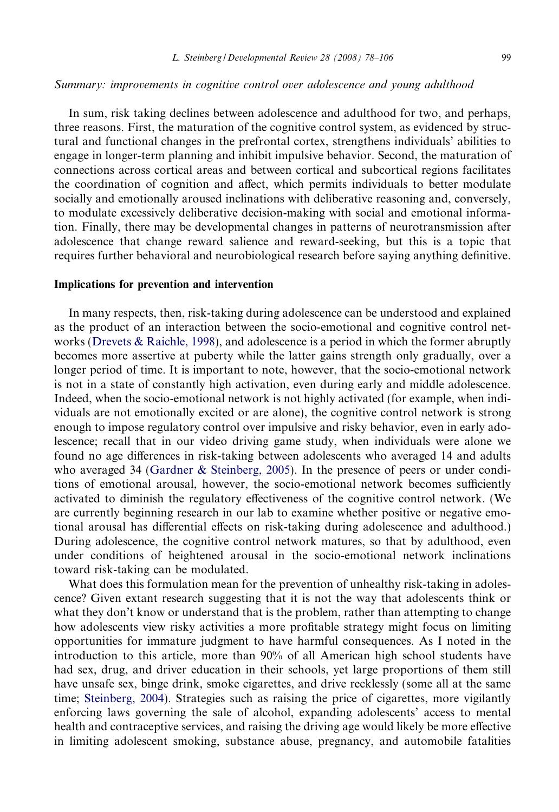## Summary: improvements in cognitive control over adolescence and young adulthood

In sum, risk taking declines between adolescence and adulthood for two, and perhaps, three reasons. First, the maturation of the cognitive control system, as evidenced by structural and functional changes in the prefrontal cortex, strengthens individuals' abilities to engage in longer-term planning and inhibit impulsive behavior. Second, the maturation of connections across cortical areas and between cortical and subcortical regions facilitates the coordination of cognition and affect, which permits individuals to better modulate socially and emotionally aroused inclinations with deliberative reasoning and, conversely, to modulate excessively deliberative decision-making with social and emotional information. Finally, there may be developmental changes in patterns of neurotransmission after adolescence that change reward salience and reward-seeking, but this is a topic that requires further behavioral and neurobiological research before saying anything definitive.

#### Implications for prevention and intervention

In many respects, then, risk-taking during adolescence can be understood and explained as the product of an interaction between the socio-emotional and cognitive control networks [\(Drevets & Raichle, 1998](#page-24-0)), and adolescence is a period in which the former abruptly becomes more assertive at puberty while the latter gains strength only gradually, over a longer period of time. It is important to note, however, that the socio-emotional network is not in a state of constantly high activation, even during early and middle adolescence. Indeed, when the socio-emotional network is not highly activated (for example, when individuals are not emotionally excited or are alone), the cognitive control network is strong enough to impose regulatory control over impulsive and risky behavior, even in early adolescence; recall that in our video driving game study, when individuals were alone we found no age differences in risk-taking between adolescents who averaged 14 and adults who averaged 34 ([Gardner & Steinberg, 2005\)](#page-25-0). In the presence of peers or under conditions of emotional arousal, however, the socio-emotional network becomes sufficiently activated to diminish the regulatory effectiveness of the cognitive control network. (We are currently beginning research in our lab to examine whether positive or negative emotional arousal has differential effects on risk-taking during adolescence and adulthood.) During adolescence, the cognitive control network matures, so that by adulthood, even under conditions of heightened arousal in the socio-emotional network inclinations toward risk-taking can be modulated.

What does this formulation mean for the prevention of unhealthy risk-taking in adolescence? Given extant research suggesting that it is not the way that adolescents think or what they don't know or understand that is the problem, rather than attempting to change how adolescents view risky activities a more profitable strategy might focus on limiting opportunities for immature judgment to have harmful consequences. As I noted in the introduction to this article, more than 90% of all American high school students have had sex, drug, and driver education in their schools, yet large proportions of them still have unsafe sex, binge drink, smoke cigarettes, and drive recklessly (some all at the same time; [Steinberg, 2004](#page-27-0)). Strategies such as raising the price of cigarettes, more vigilantly enforcing laws governing the sale of alcohol, expanding adolescents' access to mental health and contraceptive services, and raising the driving age would likely be more effective in limiting adolescent smoking, substance abuse, pregnancy, and automobile fatalities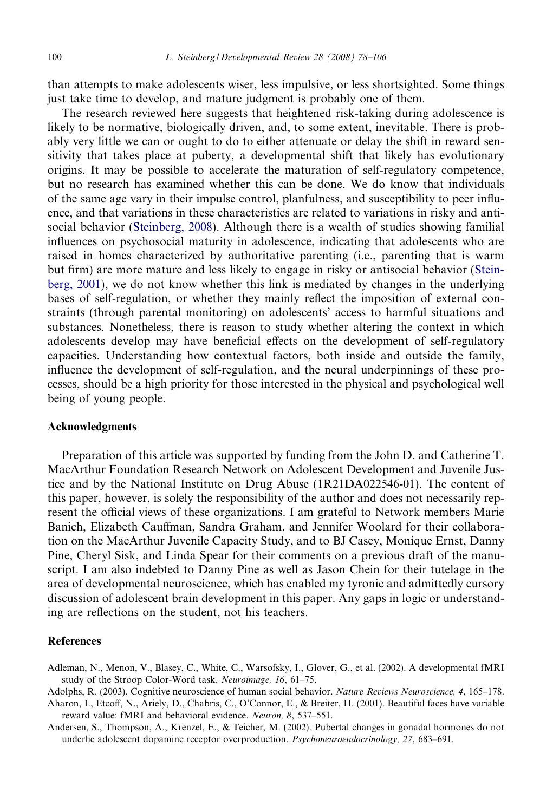<span id="page-22-0"></span>than attempts to make adolescents wiser, less impulsive, or less shortsighted. Some things just take time to develop, and mature judgment is probably one of them.

The research reviewed here suggests that heightened risk-taking during adolescence is likely to be normative, biologically driven, and, to some extent, inevitable. There is probably very little we can or ought to do to either attenuate or delay the shift in reward sensitivity that takes place at puberty, a developmental shift that likely has evolutionary origins. It may be possible to accelerate the maturation of self-regulatory competence, but no research has examined whether this can be done. We do know that individuals of the same age vary in their impulse control, planfulness, and susceptibility to peer influence, and that variations in these characteristics are related to variations in risky and antisocial behavior ([Steinberg, 2008\)](#page-27-0). Although there is a wealth of studies showing familial influences on psychosocial maturity in adolescence, indicating that adolescents who are raised in homes characterized by authoritative parenting (i.e., parenting that is warm but firm) are more mature and less likely to engage in risky or antisocial behavior ([Stein](#page-27-0)[berg, 2001\)](#page-27-0), we do not know whether this link is mediated by changes in the underlying bases of self-regulation, or whether they mainly reflect the imposition of external constraints (through parental monitoring) on adolescents' access to harmful situations and substances. Nonetheless, there is reason to study whether altering the context in which adolescents develop may have beneficial effects on the development of self-regulatory capacities. Understanding how contextual factors, both inside and outside the family, influence the development of self-regulation, and the neural underpinnings of these processes, should be a high priority for those interested in the physical and psychological well being of young people.

# Acknowledgments

Preparation of this article was supported by funding from the John D. and Catherine T. MacArthur Foundation Research Network on Adolescent Development and Juvenile Justice and by the National Institute on Drug Abuse (1R21DA022546-01). The content of this paper, however, is solely the responsibility of the author and does not necessarily represent the official views of these organizations. I am grateful to Network members Marie Banich, Elizabeth Cauffman, Sandra Graham, and Jennifer Woolard for their collaboration on the MacArthur Juvenile Capacity Study, and to BJ Casey, Monique Ernst, Danny Pine, Cheryl Sisk, and Linda Spear for their comments on a previous draft of the manuscript. I am also indebted to Danny Pine as well as Jason Chein for their tutelage in the area of developmental neuroscience, which has enabled my tyronic and admittedly cursory discussion of adolescent brain development in this paper. Any gaps in logic or understanding are reflections on the student, not his teachers.

#### References

- Adleman, N., Menon, V., Blasey, C., White, C., Warsofsky, I., Glover, G., et al. (2002). A developmental fMRI study of the Stroop Color-Word task. Neuroimage, 16, 61–75.
- Adolphs, R. (2003). Cognitive neuroscience of human social behavior. Nature Reviews Neuroscience, 4, 165–178.

Aharon, I., Etcoff, N., Ariely, D., Chabris, C., O'Connor, E., & Breiter, H. (2001). Beautiful faces have variable reward value: fMRI and behavioral evidence. Neuron, 8, 537–551.

Andersen, S., Thompson, A., Krenzel, E., & Teicher, M. (2002). Pubertal changes in gonadal hormones do not underlie adolescent dopamine receptor overproduction. Psychoneuroendocrinology, 27, 683–691.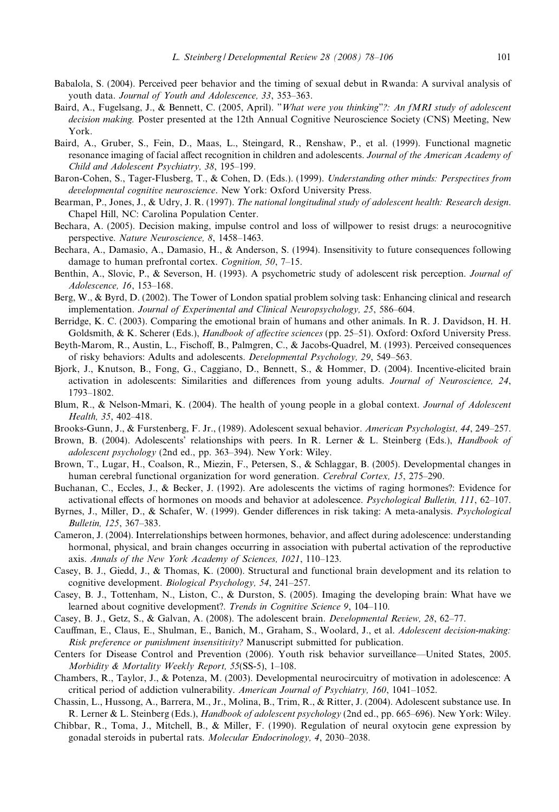- <span id="page-23-0"></span>Babalola, S. (2004). Perceived peer behavior and the timing of sexual debut in Rwanda: A survival analysis of youth data. Journal of Youth and Adolescence, 33, 353–363.
- Baird, A., Fugelsang, J., & Bennett, C. (2005, April). "What were you thinking"?: An fMRI study of adolescent decision making. Poster presented at the 12th Annual Cognitive Neuroscience Society (CNS) Meeting, New York.
- Baird, A., Gruber, S., Fein, D., Maas, L., Steingard, R., Renshaw, P., et al. (1999). Functional magnetic resonance imaging of facial affect recognition in children and adolescents. Journal of the American Academy of Child and Adolescent Psychiatry, 38, 195–199.
- Baron-Cohen, S., Tager-Flusberg, T., & Cohen, D. (Eds.). (1999). Understanding other minds: Perspectives from developmental cognitive neuroscience. New York: Oxford University Press.
- Bearman, P., Jones, J., & Udry, J. R. (1997). The national longitudinal study of adolescent health: Research design. Chapel Hill, NC: Carolina Population Center.
- Bechara, A. (2005). Decision making, impulse control and loss of willpower to resist drugs: a neurocognitive perspective. Nature Neuroscience, 8, 1458–1463.
- Bechara, A., Damasio, A., Damasio, H., & Anderson, S. (1994). Insensitivity to future consequences following damage to human prefrontal cortex. Cognition, 50, 7–15.
- Benthin, A., Slovic, P., & Severson, H. (1993). A psychometric study of adolescent risk perception. Journal of Adolescence, 16, 153–168.
- Berg, W., & Byrd, D. (2002). The Tower of London spatial problem solving task: Enhancing clinical and research implementation. Journal of Experimental and Clinical Neuropsychology, 25, 586–604.
- Berridge, K. C. (2003). Comparing the emotional brain of humans and other animals. In R. J. Davidson, H. H. Goldsmith, & K. Scherer (Eds.), Handbook of affective sciences (pp. 25–51). Oxford: Oxford University Press.
- Beyth-Marom, R., Austin, L., Fischoff, B., Palmgren, C., & Jacobs-Quadrel, M. (1993). Perceived consequences of risky behaviors: Adults and adolescents. Developmental Psychology, 29, 549–563.
- Bjork, J., Knutson, B., Fong, G., Caggiano, D., Bennett, S., & Hommer, D. (2004). Incentive-elicited brain activation in adolescents: Similarities and differences from young adults. Journal of Neuroscience, 24, 1793–1802.
- Blum, R., & Nelson-Mmari, K. (2004). The health of young people in a global context. Journal of Adolescent Health, 35, 402–418.
- Brooks-Gunn, J., & Furstenberg, F. Jr., (1989). Adolescent sexual behavior. American Psychologist, 44, 249–257.
- Brown, B. (2004). Adolescents' relationships with peers. In R. Lerner & L. Steinberg (Eds.), *Handbook of* adolescent psychology (2nd ed., pp. 363–394). New York: Wiley.
- Brown, T., Lugar, H., Coalson, R., Miezin, F., Petersen, S., & Schlaggar, B. (2005). Developmental changes in human cerebral functional organization for word generation. Cerebral Cortex, 15, 275–290.
- Buchanan, C., Eccles, J., & Becker, J. (1992). Are adolescents the victims of raging hormones?: Evidence for activational effects of hormones on moods and behavior at adolescence. Psychological Bulletin, 111, 62–107.
- Byrnes, J., Miller, D., & Schafer, W. (1999). Gender differences in risk taking: A meta-analysis. Psychological Bulletin, 125, 367–383.
- Cameron, J. (2004). Interrelationships between hormones, behavior, and affect during adolescence: understanding hormonal, physical, and brain changes occurring in association with pubertal activation of the reproductive axis. Annals of the New York Academy of Sciences, 1021, 110–123.
- Casey, B. J., Giedd, J., & Thomas, K. (2000). Structural and functional brain development and its relation to cognitive development. Biological Psychology, 54, 241–257.
- Casey, B. J., Tottenham, N., Liston, C., & Durston, S. (2005). Imaging the developing brain: What have we learned about cognitive development?. Trends in Cognitive Science 9, 104–110.
- Casey, B. J., Getz, S., & Galvan, A. (2008). The adolescent brain. Developmental Review, 28, 62–77.
- Cauffman, E., Claus, E., Shulman, E., Banich, M., Graham, S., Woolard, J., et al. Adolescent decision-making: Risk preference or punishment insensitivity? Manuscript submitted for publication.
- Centers for Disease Control and Prevention (2006). Youth risk behavior surveillance—United States, 2005. Morbidity & Mortality Weekly Report, 55(SS-5), 1–108.
- Chambers, R., Taylor, J., & Potenza, M. (2003). Developmental neurocircuitry of motivation in adolescence: A critical period of addiction vulnerability. American Journal of Psychiatry, 160, 1041–1052.
- Chassin, L., Hussong, A., Barrera, M., Jr., Molina, B., Trim, R., & Ritter, J. (2004). Adolescent substance use. In R. Lerner & L. Steinberg (Eds.), *Handbook of adolescent psychology* (2nd ed., pp. 665–696). New York: Wiley.
- Chibbar, R., Toma, J., Mitchell, B., & Miller, F. (1990). Regulation of neural oxytocin gene expression by gonadal steroids in pubertal rats. Molecular Endocrinology, 4, 2030–2038.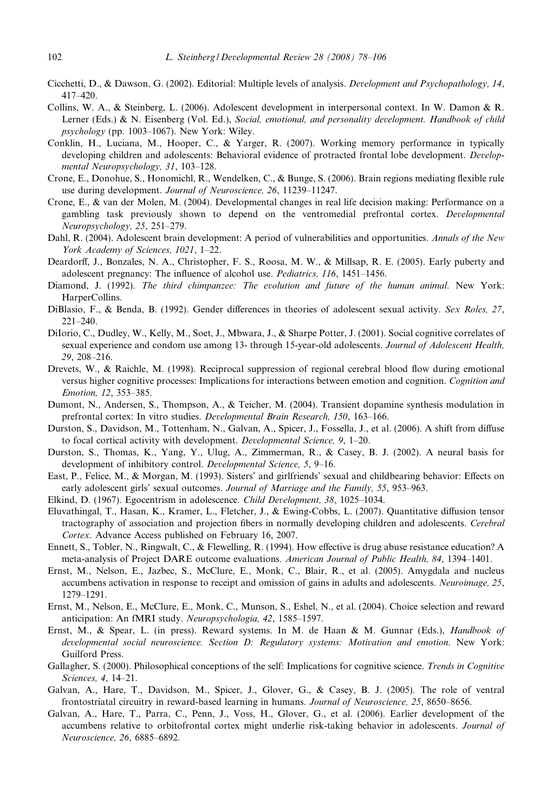- <span id="page-24-0"></span>Cicchetti, D., & Dawson, G. (2002). Editorial: Multiple levels of analysis. Development and Psychopathology, 14, 417–420.
- Collins, W. A., & Steinberg, L. (2006). Adolescent development in interpersonal context. In W. Damon & R. Lerner (Eds.) & N. Eisenberg (Vol. Ed.), Social, emotional, and personality development. Handbook of child psychology (pp. 1003–1067). New York: Wiley.
- Conklin, H., Luciana, M., Hooper, C., & Yarger, R. (2007). Working memory performance in typically developing children and adolescents: Behavioral evidence of protracted frontal lobe development. Developmental Neuropsychology, 31, 103–128.
- Crone, E., Donohue, S., Honomichl, R., Wendelken, C., & Bunge, S. (2006). Brain regions mediating flexible rule use during development. Journal of Neuroscience, 26, 11239–11247.
- Crone, E., & van der Molen, M. (2004). Developmental changes in real life decision making: Performance on a gambling task previously shown to depend on the ventromedial prefrontal cortex. Developmental Neuropsychology, 25, 251–279.
- Dahl, R. (2004). Adolescent brain development: A period of vulnerabilities and opportunities. Annals of the New York Academy of Sciences, 1021, 1–22.
- Deardorff, J., Bonzales, N. A., Christopher, F. S., Roosa, M. W., & Millsap, R. E. (2005). Early puberty and adolescent pregnancy: The influence of alcohol use. Pediatrics, 116, 1451–1456.
- Diamond, J. (1992). The third chimpanzee: The evolution and future of the human animal. New York: HarperCollins.
- DiBlasio, F., & Benda, B. (1992). Gender differences in theories of adolescent sexual activity. Sex Roles, 27, 221–240.
- DiIorio, C., Dudley, W., Kelly, M., Soet, J., Mbwara, J., & Sharpe Potter, J. (2001). Social cognitive correlates of sexual experience and condom use among 13- through 15-year-old adolescents. Journal of Adolescent Health, 29, 208–216.
- Drevets, W., & Raichle, M. (1998). Reciprocal suppression of regional cerebral blood flow during emotional versus higher cognitive processes: Implications for interactions between emotion and cognition. Cognition and Emotion, 12, 353–385.
- Dumont, N., Andersen, S., Thompson, A., & Teicher, M. (2004). Transient dopamine synthesis modulation in prefrontal cortex: In vitro studies. Developmental Brain Research, 150, 163–166.
- Durston, S., Davidson, M., Tottenham, N., Galvan, A., Spicer, J., Fossella, J., et al. (2006). A shift from diffuse to focal cortical activity with development. Developmental Science, 9, 1–20.
- Durston, S., Thomas, K., Yang, Y., Ulug, A., Zimmerman, R., & Casey, B. J. (2002). A neural basis for development of inhibitory control. Developmental Science, 5, 9–16.
- East, P., Felice, M., & Morgan, M. (1993). Sisters' and girlfriends' sexual and childbearing behavior: Effects on early adolescent girls' sexual outcomes. Journal of Marriage and the Family, 55, 953-963.
- Elkind, D. (1967). Egocentrism in adolescence. Child Development, 38, 1025-1034.
- Eluvathingal, T., Hasan, K., Kramer, L., Fletcher, J., & Ewing-Cobbs, L. (2007). Quantitative diffusion tensor tractography of association and projection fibers in normally developing children and adolescents. Cerebral Cortex. Advance Access published on February 16, 2007.
- Ennett, S., Tobler, N., Ringwalt, C., & Flewelling, R. (1994). How effective is drug abuse resistance education? A meta-analysis of Project DARE outcome evaluations. American Journal of Public Health, 84, 1394-1401.
- Ernst, M., Nelson, E., Jazbec, S., McClure, E., Monk, C., Blair, R., et al. (2005). Amygdala and nucleus accumbens activation in response to receipt and omission of gains in adults and adolescents. Neuroimage, 25, 1279–1291.
- Ernst, M., Nelson, E., McClure, E., Monk, C., Munson, S., Eshel, N., et al. (2004). Choice selection and reward anticipation: An fMRI study. Neuropsychologia, 42, 1585–1597.
- Ernst, M., & Spear, L. (in press). Reward systems. In M. de Haan & M. Gunnar (Eds.), Handbook of developmental social neuroscience. Section D: Regulatory systems: Motivation and emotion. New York: Guilford Press.
- Gallagher, S. (2000). Philosophical conceptions of the self: Implications for cognitive science. Trends in Cognitive Sciences, 4, 14–21.
- Galvan, A., Hare, T., Davidson, M., Spicer, J., Glover, G., & Casey, B. J. (2005). The role of ventral frontostriatal circuitry in reward-based learning in humans. Journal of Neuroscience, 25, 8650-8656.
- Galvan, A., Hare, T., Parra, C., Penn, J., Voss, H., Glover, G., et al. (2006). Earlier development of the accumbens relative to orbitofrontal cortex might underlie risk-taking behavior in adolescents. Journal of Neuroscience, 26, 6885–6892.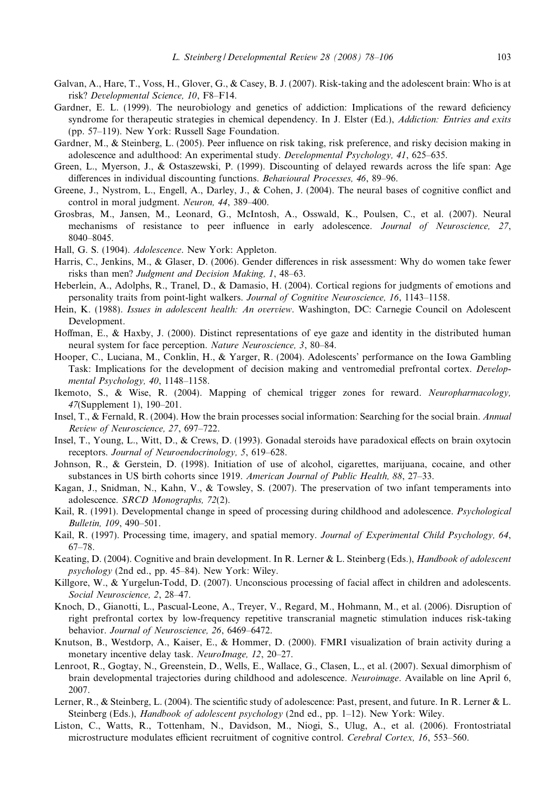- <span id="page-25-0"></span>Galvan, A., Hare, T., Voss, H., Glover, G., & Casey, B. J. (2007). Risk-taking and the adolescent brain: Who is at risk? Developmental Science, 10, F8–F14.
- Gardner, E. L. (1999). The neurobiology and genetics of addiction: Implications of the reward deficiency syndrome for therapeutic strategies in chemical dependency. In J. Elster (Ed.), Addiction: Entries and exits (pp. 57–119). New York: Russell Sage Foundation.
- Gardner, M., & Steinberg, L. (2005). Peer influence on risk taking, risk preference, and risky decision making in adolescence and adulthood: An experimental study. Developmental Psychology, 41, 625–635.
- Green, L., Myerson, J., & Ostaszewski, P. (1999). Discounting of delayed rewards across the life span: Age differences in individual discounting functions. *Behavioural Processes, 46, 89–96.*
- Greene, J., Nystrom, L., Engell, A., Darley, J., & Cohen, J. (2004). The neural bases of cognitive conflict and control in moral judgment. Neuron, 44, 389–400.
- Grosbras, M., Jansen, M., Leonard, G., McIntosh, A., Osswald, K., Poulsen, C., et al. (2007). Neural mechanisms of resistance to peer influence in early adolescence. Journal of Neuroscience, 27, 8040–8045.
- Hall, G. S. (1904). Adolescence. New York: Appleton.
- Harris, C., Jenkins, M., & Glaser, D. (2006). Gender differences in risk assessment: Why do women take fewer risks than men? Judgment and Decision Making, 1, 48–63.
- Heberlein, A., Adolphs, R., Tranel, D., & Damasio, H. (2004). Cortical regions for judgments of emotions and personality traits from point-light walkers. Journal of Cognitive Neuroscience, 16, 1143–1158.
- Hein, K. (1988). Issues in adolescent health: An overview. Washington, DC: Carnegie Council on Adolescent Development.
- Hoffman, E., & Haxby, J. (2000). Distinct representations of eye gaze and identity in the distributed human neural system for face perception. Nature Neuroscience, 3, 80–84.
- Hooper, C., Luciana, M., Conklin, H., & Yarger, R. (2004). Adolescents' performance on the Iowa Gambling Task: Implications for the development of decision making and ventromedial prefrontal cortex. Developmental Psychology, 40, 1148–1158.
- Ikemoto, S., & Wise, R. (2004). Mapping of chemical trigger zones for reward. Neuropharmacology, 47(Supplement 1), 190–201.
- Insel, T., & Fernald, R. (2004). How the brain processes social information: Searching for the social brain. Annual Review of Neuroscience, 27, 697–722.
- Insel, T., Young, L., Witt, D., & Crews, D. (1993). Gonadal steroids have paradoxical effects on brain oxytocin receptors. Journal of Neuroendocrinology, 5, 619–628.
- Johnson, R., & Gerstein, D. (1998). Initiation of use of alcohol, cigarettes, marijuana, cocaine, and other substances in US birth cohorts since 1919. American Journal of Public Health, 88, 27–33.
- Kagan, J., Snidman, N., Kahn, V., & Towsley, S. (2007). The preservation of two infant temperaments into adolescence. SRCD Monographs, 72(2).
- Kail, R. (1991). Developmental change in speed of processing during childhood and adolescence. *Psychological* Bulletin, 109, 490–501.
- Kail, R. (1997). Processing time, imagery, and spatial memory. Journal of Experimental Child Psychology, 64, 67–78.
- Keating, D. (2004). Cognitive and brain development. In R. Lerner & L. Steinberg (Eds.), Handbook of adolescent psychology (2nd ed., pp. 45–84). New York: Wiley.
- Killgore, W., & Yurgelun-Todd, D. (2007). Unconscious processing of facial affect in children and adolescents. Social Neuroscience, 2, 28–47.
- Knoch, D., Gianotti, L., Pascual-Leone, A., Treyer, V., Regard, M., Hohmann, M., et al. (2006). Disruption of right prefrontal cortex by low-frequency repetitive transcranial magnetic stimulation induces risk-taking behavior. Journal of Neuroscience, 26, 6469-6472.
- Knutson, B., Westdorp, A., Kaiser, E., & Hommer, D. (2000). FMRI visualization of brain activity during a monetary incentive delay task. NeuroImage, 12, 20–27.
- Lenroot, R., Gogtay, N., Greenstein, D., Wells, E., Wallace, G., Clasen, L., et al. (2007). Sexual dimorphism of brain developmental trajectories during childhood and adolescence. Neuroimage. Available on line April 6, 2007.
- Lerner, R., & Steinberg, L. (2004). The scientific study of adolescence: Past, present, and future. In R. Lerner & L. Steinberg (Eds.), Handbook of adolescent psychology (2nd ed., pp. 1–12). New York: Wiley.
- Liston, C., Watts, R., Tottenham, N., Davidson, M., Niogi, S., Ulug, A., et al. (2006). Frontostriatal microstructure modulates efficient recruitment of cognitive control. Cerebral Cortex, 16, 553–560.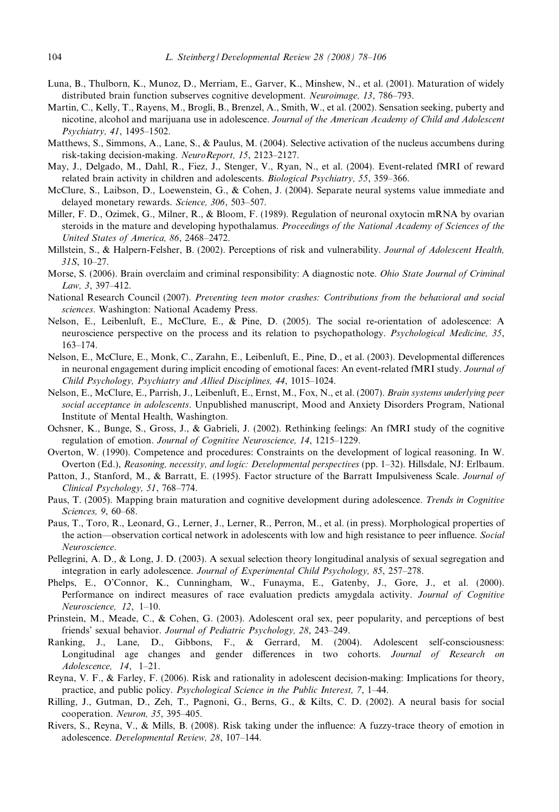- <span id="page-26-0"></span>Luna, B., Thulborn, K., Munoz, D., Merriam, E., Garver, K., Minshew, N., et al. (2001). Maturation of widely distributed brain function subserves cognitive development. Neuroimage, 13, 786–793.
- Martin, C., Kelly, T., Rayens, M., Brogli, B., Brenzel, A., Smith, W., et al. (2002). Sensation seeking, puberty and nicotine, alcohol and marijuana use in adolescence. Journal of the American Academy of Child and Adolescent Psychiatry, 41, 1495–1502.
- Matthews, S., Simmons, A., Lane, S., & Paulus, M. (2004). Selective activation of the nucleus accumbens during risk-taking decision-making. NeuroReport, 15, 2123–2127.
- May, J., Delgado, M., Dahl, R., Fiez, J., Stenger, V., Ryan, N., et al. (2004). Event-related fMRI of reward related brain activity in children and adolescents. Biological Psychiatry, 55, 359-366.
- McClure, S., Laibson, D., Loewenstein, G., & Cohen, J. (2004). Separate neural systems value immediate and delayed monetary rewards. Science, 306, 503–507.
- Miller, F. D., Ozimek, G., Milner, R., & Bloom, F. (1989). Regulation of neuronal oxytocin mRNA by ovarian steroids in the mature and developing hypothalamus. Proceedings of the National Academy of Sciences of the United States of America, 86, 2468–2472.
- Millstein, S., & Halpern-Felsher, B. (2002). Perceptions of risk and vulnerability. Journal of Adolescent Health, 31S, 10–27.
- Morse, S. (2006). Brain overclaim and criminal responsibility: A diagnostic note. Ohio State Journal of Criminal Law, 3, 397–412.
- National Research Council (2007). Preventing teen motor crashes: Contributions from the behavioral and social sciences. Washington: National Academy Press.
- Nelson, E., Leibenluft, E., McClure, E., & Pine, D. (2005). The social re-orientation of adolescence: A neuroscience perspective on the process and its relation to psychopathology. Psychological Medicine, 35, 163–174.
- Nelson, E., McClure, E., Monk, C., Zarahn, E., Leibenluft, E., Pine, D., et al. (2003). Developmental differences in neuronal engagement during implicit encoding of emotional faces: An event-related fMRI study. Journal of Child Psychology, Psychiatry and Allied Disciplines, 44, 1015–1024.
- Nelson, E., McClure, E., Parrish, J., Leibenluft, E., Ernst, M., Fox, N., et al. (2007). Brain systems underlying peer social acceptance in adolescents. Unpublished manuscript, Mood and Anxiety Disorders Program, National Institute of Mental Health, Washington.
- Ochsner, K., Bunge, S., Gross, J., & Gabrieli, J. (2002). Rethinking feelings: An fMRI study of the cognitive regulation of emotion. Journal of Cognitive Neuroscience, 14, 1215–1229.
- Overton, W. (1990). Competence and procedures: Constraints on the development of logical reasoning. In W. Overton (Ed.), Reasoning, necessity, and logic: Developmental perspectives (pp. 1–32). Hillsdale, NJ: Erlbaum.
- Patton, J., Stanford, M., & Barratt, E. (1995). Factor structure of the Barratt Impulsiveness Scale. *Journal of* Clinical Psychology, 51, 768–774.
- Paus, T. (2005). Mapping brain maturation and cognitive development during adolescence. Trends in Cognitive Sciences, 9, 60–68.
- Paus, T., Toro, R., Leonard, G., Lerner, J., Lerner, R., Perron, M., et al. (in press). Morphological properties of the action—observation cortical network in adolescents with low and high resistance to peer influence. Social Neuroscience.
- Pellegrini, A. D., & Long, J. D. (2003). A sexual selection theory longitudinal analysis of sexual segregation and integration in early adolescence. Journal of Experimental Child Psychology, 85, 257–278.
- Phelps, E., O'Connor, K., Cunningham, W., Funayma, E., Gatenby, J., Gore, J., et al. (2000). Performance on indirect measures of race evaluation predicts amygdala activity. Journal of Cognitive Neuroscience, 12, 1–10.
- Prinstein, M., Meade, C., & Cohen, G. (2003). Adolescent oral sex, peer popularity, and perceptions of best friends' sexual behavior. Journal of Pediatric Psychology, 28, 243–249.
- Ranking, J., Lane, D., Gibbons, F., & Gerrard, M. (2004). Adolescent self-consciousness: Longitudinal age changes and gender differences in two cohorts. Journal of Research on Adolescence, 14, 1–21.
- Reyna, V. F., & Farley, F. (2006). Risk and rationality in adolescent decision-making: Implications for theory, practice, and public policy. Psychological Science in the Public Interest, 7, 1–44.
- Rilling, J., Gutman, D., Zeh, T., Pagnoni, G., Berns, G., & Kilts, C. D. (2002). A neural basis for social cooperation. Neuron, 35, 395–405.
- Rivers, S., Reyna, V., & Mills, B. (2008). Risk taking under the influence: A fuzzy-trace theory of emotion in adolescence. Developmental Review, 28, 107–144.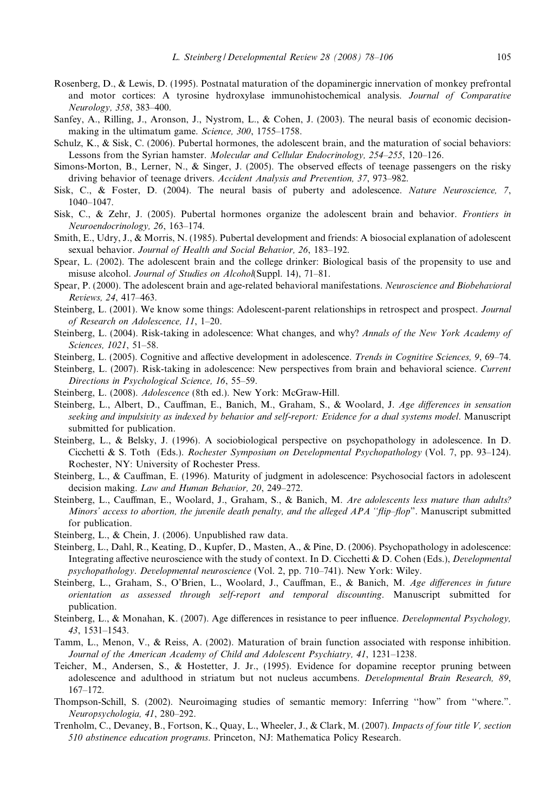- <span id="page-27-0"></span>Rosenberg, D., & Lewis, D. (1995). Postnatal maturation of the dopaminergic innervation of monkey prefrontal and motor cortices: A tyrosine hydroxylase immunohistochemical analysis. Journal of Comparative Neurology, 358, 383–400.
- Sanfey, A., Rilling, J., Aronson, J., Nystrom, L., & Cohen, J. (2003). The neural basis of economic decisionmaking in the ultimatum game. Science, 300, 1755–1758.
- Schulz, K., & Sisk, C. (2006). Pubertal hormones, the adolescent brain, and the maturation of social behaviors: Lessons from the Syrian hamster. Molecular and Cellular Endocrinology, 254-255, 120-126.
- Simons-Morton, B., Lerner, N., & Singer, J. (2005). The observed effects of teenage passengers on the risky driving behavior of teenage drivers. Accident Analysis and Prevention, 37, 973–982.
- Sisk, C., & Foster, D. (2004). The neural basis of puberty and adolescence. Nature Neuroscience, 7, 1040–1047.
- Sisk, C., & Zehr, J. (2005). Pubertal hormones organize the adolescent brain and behavior. Frontiers in Neuroendocrinology, 26, 163–174.
- Smith, E., Udry, J., & Morris, N. (1985). Pubertal development and friends: A biosocial explanation of adolescent sexual behavior. Journal of Health and Social Behavior, 26, 183–192.
- Spear, L. (2002). The adolescent brain and the college drinker: Biological basis of the propensity to use and misuse alcohol. Journal of Studies on Alcohol(Suppl. 14), 71–81.
- Spear, P. (2000). The adolescent brain and age-related behavioral manifestations. Neuroscience and Biobehavioral Reviews, 24, 417–463.
- Steinberg, L. (2001). We know some things: Adolescent-parent relationships in retrospect and prospect. Journal of Research on Adolescence, 11, 1–20.
- Steinberg, L. (2004). Risk-taking in adolescence: What changes, and why? Annals of the New York Academy of Sciences, 1021, 51–58.
- Steinberg, L. (2005). Cognitive and affective development in adolescence. Trends in Cognitive Sciences, 9, 69–74.
- Steinberg, L. (2007). Risk-taking in adolescence: New perspectives from brain and behavioral science. Current Directions in Psychological Science, 16, 55–59.
- Steinberg, L. (2008). Adolescence (8th ed.). New York: McGraw-Hill.
- Steinberg, L., Albert, D., Cauffman, E., Banich, M., Graham, S., & Woolard, J. Age differences in sensation seeking and impulsivity as indexed by behavior and self-report: Evidence for a dual systems model. Manuscript submitted for publication.
- Steinberg, L., & Belsky, J. (1996). A sociobiological perspective on psychopathology in adolescence. In D. Cicchetti & S. Toth (Eds.). Rochester Symposium on Developmental Psychopathology (Vol. 7, pp. 93–124). Rochester, NY: University of Rochester Press.
- Steinberg, L., & Cauffman, E. (1996). Maturity of judgment in adolescence: Psychosocial factors in adolescent decision making. Law and Human Behavior, 20, 249–272.
- Steinberg, L., Cauffman, E., Woolard, J., Graham, S., & Banich, M. Are adolescents less mature than adults? Minors' access to abortion, the juvenile death penalty, and the alleged APA "flip–flop". Manuscript submitted for publication.
- Steinberg, L., & Chein, J. (2006). Unpublished raw data.
- Steinberg, L., Dahl, R., Keating, D., Kupfer, D., Masten, A., & Pine, D. (2006). Psychopathology in adolescence: Integrating affective neuroscience with the study of context. In D. Cicchetti & D. Cohen (Eds.), Developmental psychopathology. Developmental neuroscience (Vol. 2, pp. 710–741). New York: Wiley.
- Steinberg, L., Graham, S., O'Brien, L., Woolard, J., Cauffman, E., & Banich, M. Age differences in future orientation as assessed through self-report and temporal discounting. Manuscript submitted for publication.
- Steinberg, L., & Monahan, K. (2007). Age differences in resistance to peer influence. *Developmental Psychology*, 43, 1531–1543.
- Tamm, L., Menon, V., & Reiss, A. (2002). Maturation of brain function associated with response inhibition. Journal of the American Academy of Child and Adolescent Psychiatry, 41, 1231–1238.
- Teicher, M., Andersen, S., & Hostetter, J. Jr., (1995). Evidence for dopamine receptor pruning between adolescence and adulthood in striatum but not nucleus accumbens. Developmental Brain Research, 89, 167–172.
- Thompson-Schill, S. (2002). Neuroimaging studies of semantic memory: Inferring ''how" from ''where.". Neuropsychologia, 41, 280–292.
- Trenholm, C., Devaney, B., Fortson, K., Quay, L., Wheeler, J., & Clark, M. (2007). Impacts of four title V, section 510 abstinence education programs. Princeton, NJ: Mathematica Policy Research.